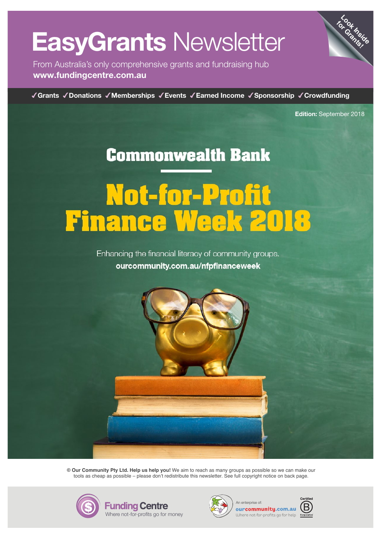# ww.fundingcentre.com.<br>Automobile.com.autom.autom.autom.autom.autom.autom.autom.autom.autom.autom.autom.autom.autom.autom.autom.autom EasyGrants Newsletter

From Australia's only comprehensive grants and fundraising hub www.fundingcentre.com.au

GrantsDonationsMembershipsEventsEarned IncomeSponsorshipCrowdfunding

**www.ourcommunity.com**<br> **Edition:** September 2018 **Edition:** September 2018

**Look Inside for Grants!**

## **www.ourcommunity.com.au/nfpfnanceweek Commonwealth Bank**

# **www.ourcommunity.com.au/nfpfnanceweek** www.ourcommunity.com<br>There is a **Week 2010 www.ourcommunity.com.au/nfpfnanceweek**

**www.ourcommunity.com.au/nfpfnanceweek**



**© Our Community Pty Ltd. Help us help you!** We aim to reach as many groups as possible so we can make our tools as cheap as possible – please don't redistribute this newsletter. See full copyright notice on back page.





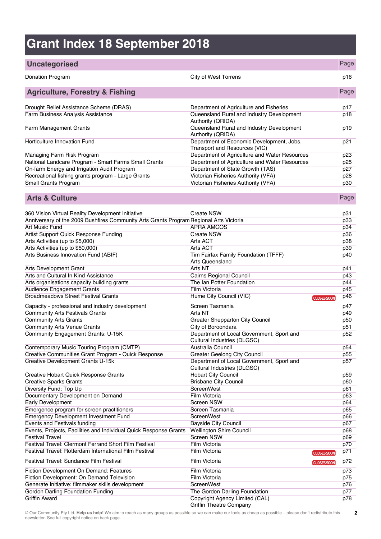## **Grant Index 18 September 2018**

#### **Uncategorised** Page Donation Program City of West Torrens p16 **Agriculture, Forestry & Fishing** Page Drought Relief Assistance Scheme (DRAS) Department of Agriculture and Fisheries p17 Farm Business Analysis Assistance Queensland Rural and Industry Development Authority (QRIDA) p18 Farm Management Grants Queensland Rural and Industry Development Authority (QRIDA) p19 Horticulture Innovation Fund **Department of Economic Development, Jobs,** Transport and Resources (VIC) p21 Managing Farm Risk Program **Department of Agriculture and Water Resources** p23 National Landcare Program - Smart Farms Small Grants Department of Agriculture and Water Resources p25 On-farm Energy and Irrigation Audit Program Department of State Growth (TAS) p27 Recreational fishing grants program - Large Grants Victorian Fisheries Authority (VFA) p28 Small Grants Program Victorian Fisheries Authority (VFA) p30 **Arts & Culture** Page **Page 2014** 360 Vision Virtual Reality Development Initiative Create NSW p31 Anniversary of the 2009 Bushfires Community Arts Grants Program Regional Arts Victoria **Article 1983**<br>Art Music Fund p33<br>p34 Art Music Fund APRA AMCOS p34 Artist Support Quick Response Funding and Create NSW create NSW p36<br>Arts Activities (up to \$5,000) p38 Arts Activities (up to \$5,000) Arts ACT p38<br>Arts Activities (up to \$50,000) Arts ACT p39 Arts Activities (up to \$50,000) <br>Arts Activities (up to \$50,000) <br>p40 arts Business Innovation Fund (ABIF) p40 Tim Fairfax Family Foundation (TFFF) Arts Queensland Arts Development Grant Arts NT Arts NT p41 Arts and Cultural In Kind Assistance **Cairns Regional Council** p43 Arts organisations capacity building grants The Ian Potter Foundation **The Ian Potter Foundation** p44 Audience Engagement Grants **Film Victoria** Film Victoria **Film Victoria p45** Broadmeadows Street Festival Grants **Hume City Council (VIC) p46 p**  $\frac{1}{2}$  **p**  $\frac{1}{2}$  **p**  $\frac{1}{2}$  **p**  $\frac{1}{2}$  **p**  $\frac{1}{2}$  **p**  $\frac{1}{2}$  **p**  $\frac{1}{2}$  **p**  $\frac{1}{2}$  **p**  $\frac{1}{2}$  **p**  $\frac{1}{2}$  **p**  $\frac{1}{2}$  Capacity - professional and industry development Screen Tasmania control of the p47 Community Arts Festivals Grants **Arts NT** Arts NT **p49** and Arts NT **p49** Community Arts Grants<br>
Community Arts Venue Grants<br>
Community Arts Venue Grants<br>
City of Boroondara Community Arts Venue Grants City of Boroondara Community Engagement Grants: U-15K Department of Local Government, Sport and Cultural Industries (DLGSC)<br>Australia Council p52 Contemporary Music Touring Program (CMTP) <br>Creative Communities Grant Program - Quick Response Greater Geelong City Council Creative Communities Grant Program - Quick Response Creative Communities Grant Program - Quick Response Greater Geelong City Council p55 Creative Development Grants U-15k Department of Local Government, Sport and Cultural Industries (DLGSC) p<sub>57</sub> Creative Hobart Quick Response Grants **Hobart City Council** p59<br>Creative Sparks Grants **Hobart City Council** p59<br>p60 Creative Sparks Grants **Britain City Council Properties Creative Sparks Grants** p60<br>Diversity Fund: Top Up **Britain City Council Properties ScreenWest** p61 Diversity Fund: Top Up and Demand and ScreenWest politicial control of the p61 p61 p61 p61 p61 p61 p61 p61 p61<br>Documentary Development on Demand and Film Victoria Documentary Development on Demand<br>
Early Development<br>
Early Development<br>
D64 Early Development Development Development Development Screen NSW Screen NSW p64 Emergence program for screen practitioners Screen Tasmania p65 Emergency Development Investment Fund<br>
Events and Festivals funding<br>
p67<br>
p67 Events and Festivals funding the contract of the Bayside City Council part of the p67

Griffin Theatre Company

Griffin Award Copyright Agency Limited (CAL)

Events, Projects, Facilities and Individual Quick Response Grants Wellington Shire Council p68 Festival Travel Screen NSW p69 Festival Travel: Clermont Ferrand Short Film Festival Film Victoria Film Victoria p70<br>Festival Travel: Rotterdam International Film Festival Film Victoria Film Victoria p71 Festival Travel: Rotterdam International Film Festival Film Victoria Film Victoria **PRICIOS** CLOSES SOON Festival Travel: Sundance Film Festival **Film Festival** Film Victoria Film Victoria **Film Victoria Film Victoria** p72 Fiction Development On Demand: Features Film Victoria Film Victoria **Film Victoria** p73 Fiction Development: On Demand Television Film Victoria Film Victoria **Film Victoria** p75 Generate Initiative: filmmaker skills development ScreenWest ScreenWest p76 Gordon Darling Foundation Funding The Gordon Darling Foundation prior prior prior prior prior prior prior prior prior prior prior prior prior prior prior prior prior prior prior prior prior prior prior prior prior prior pr

p78

p40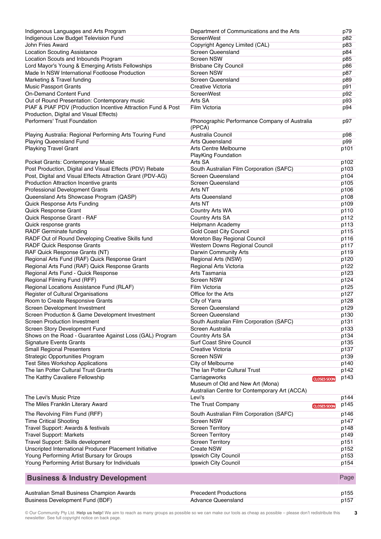| Indigenous Languages and Arts Program                        | Department of Communications and the Arts              | p79  |
|--------------------------------------------------------------|--------------------------------------------------------|------|
| Indigenous Low Budget Television Fund                        | ScreenWest                                             | p82  |
| John Fries Award                                             | Copyright Agency Limited (CAL)                         | p83  |
| <b>Location Scouting Assistance</b>                          | <b>Screen Queensland</b>                               | p84  |
| Location Scouts and Inbounds Program                         | <b>Screen NSW</b>                                      | p85  |
| Lord Mayor's Young & Emerging Artists Fellowships            | <b>Brisbane City Council</b>                           | p86  |
| Made In NSW International Footloose Production               | <b>Screen NSW</b>                                      |      |
|                                                              |                                                        | p87  |
| Marketing & Travel funding                                   | <b>Screen Queensland</b>                               | p89  |
| <b>Music Passport Grants</b>                                 | Creative Victoria                                      | p91  |
| <b>On-Demand Content Fund</b>                                | ScreenWest                                             | p92  |
| Out of Round Presentation: Contemporary music                | Arts SA                                                | p93  |
| PIAF & PIAF PDV (Production Incentive Attraction Fund & Post | Film Victoria                                          | p94  |
| Production, Digital and Visual Effects)                      |                                                        |      |
| Performers' Trust Foundation                                 | Phonographic Performance Company of Australia          | p97  |
|                                                              | (PPCA)                                                 |      |
| Playing Australia: Regional Performing Arts Touring Fund     | Australia Council                                      | p98  |
| <b>Playing Queensland Fund</b>                               | <b>Arts Queensland</b>                                 | p99  |
| <b>Playking Travel Grant</b>                                 | Arts Centre Melbourne                                  | p101 |
|                                                              | <b>PlayKing Foundation</b>                             |      |
| Pocket Grants: Contemporary Music                            | Arts SA                                                | p102 |
| Post Production, Digital and Visual Effects (PDV) Rebate     | South Australian Film Corporation (SAFC)               | p103 |
| Post, Digital and Visual Effects Attraction Grant (PDV-AG)   | Screen Queensland                                      | p104 |
| Production Attraction Incentive grants                       | <b>Screen Queensland</b>                               |      |
|                                                              |                                                        | p105 |
| Professional Development Grants                              | Arts NT                                                | p106 |
| Queensland Arts Showcase Program (QASP)                      | <b>Arts Queensland</b>                                 | p108 |
| Quick Response Arts Funding                                  | Arts NT                                                | p109 |
| Quick Response Grant                                         | Country Arts WA                                        | p110 |
| Quick Response Grant - RAF                                   | Country Arts SA                                        | p112 |
| Quick response grants                                        | Helpmann Academy                                       | p113 |
| RADF Germinate funding                                       | Gold Coast City Council                                | p115 |
| RADF Out of Round Developing Creative Skills fund            | Moreton Bay Regional Council                           | p116 |
| RADF Quick Response Grants                                   | Western Downs Regional Council                         | p117 |
| RAF Quick Response Grants (NT)                               | Darwin Community Arts                                  | p119 |
| Regional Arts Fund (RAF) Quick Response Grant                | Regional Arts (NSW)                                    | p120 |
| Regional Arts Fund (RAF) Quick Response Grants               | Regional Arts Victoria                                 | p122 |
| Regional Arts Fund - Quick Response                          | Arts Tasmania                                          | p123 |
| Regional Filming Fund (RFF)                                  | <b>Screen NSW</b>                                      | p124 |
| Regional Locations Assistance Fund (RLAF)                    | Film Victoria                                          | p125 |
|                                                              |                                                        |      |
| Register of Cultural Organisations                           | Office for the Arts                                    | p127 |
| Room to Create Responsive Grants                             | City of Yarra                                          | p128 |
| Screen Development Investment                                | Screen Queensland                                      | p129 |
| Screen Production & Game Development Investment              | Screen Queensland                                      | p130 |
| <b>Screen Production Investment</b>                          | South Australian Film Corporation (SAFC)               | p131 |
| Screen Story Development Fund                                | Screen Australia                                       | p133 |
| Shows on the Road - Guarantee Against Loss (GAL) Program     | <b>Country Arts SA</b>                                 | p134 |
| <b>Signature Events Grants</b>                               | Surf Coast Shire Council                               | p135 |
| Small Regional Presenters                                    | Creative Victoria                                      | p137 |
| <b>Strategic Opportunities Program</b>                       | <b>Screen NSW</b>                                      | p139 |
| <b>Test Sites Workshop Applications</b>                      | <b>City of Melbourne</b>                               | p140 |
| The Ian Potter Cultural Trust Grants                         | The Ian Potter Cultural Trust                          | p142 |
| The Katthy Cavaliere Fellowship                              | Carriageworks                                          | p143 |
|                                                              | <b>CLOSES SOON</b><br>Museum of Old and New Art (Mona) |      |
|                                                              | Australian Centre for Contemporary Art (ACCA)          |      |
|                                                              |                                                        |      |
| The Levi's Music Prize                                       | Levi's                                                 | p144 |
| The Miles Franklin Literary Award                            | The Trust Company<br><b>CLOSES SOON</b>                | p145 |
| The Revolving Film Fund (RFF)                                | South Australian Film Corporation (SAFC)               | p146 |
| <b>Time Critical Shooting</b>                                | <b>Screen NSW</b>                                      | p147 |
| Travel Support: Awards & festivals                           | <b>Screen Territory</b>                                | p148 |
| <b>Travel Support: Markets</b>                               | <b>Screen Territory</b>                                | p149 |
| Travel Support: Skills development                           | <b>Screen Territory</b>                                | p151 |
|                                                              | <b>Create NSW</b>                                      |      |
| Unscripted International Producer Placement Initiative       |                                                        | p152 |
| Young Performing Artist Bursary for Groups                   | Ipswich City Council                                   | p153 |
| Young Performing Artist Bursary for Individuals              | Ipswich City Council                                   | p154 |
| <b>Business &amp; Industry Development</b>                   |                                                        | Page |
| Australian Small Business Champion Awards                    | <b>Precedent Productions</b>                           | p155 |
| <b>Business Development Fund (BDF)</b>                       | <b>Advance Queensland</b>                              | p157 |
|                                                              |                                                        |      |

© Our Community Pty Ltd. **Help us help!** We aim to reach as many groups as possible so we can make our tools as cheap as possible – please don't redistribute this newsletter. See full copyright notice on back page.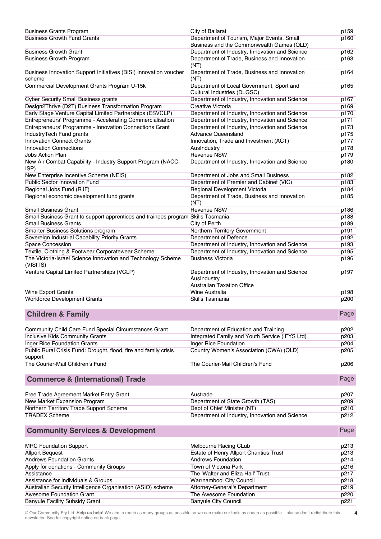| <b>Business Grants Program</b>                                                   | City of Ballarat                                                                                   | p159 |
|----------------------------------------------------------------------------------|----------------------------------------------------------------------------------------------------|------|
| <b>Business Growth Fund Grants</b>                                               | Department of Tourism, Major Events, Small                                                         | p160 |
|                                                                                  | Business and the Commonwealth Games (QLD)                                                          |      |
| <b>Business Growth Grant</b>                                                     | Department of Industry, Innovation and Science                                                     | p162 |
| <b>Business Growth Program</b>                                                   | Department of Trade, Business and Innovation<br>(NT)                                               | p163 |
| Business Innovation Support Initiatives (BISI) Innovation voucher<br>scheme      | Department of Trade, Business and Innovation<br>(NT)                                               | p164 |
| Commercial Development Grants Program U-15k                                      | Department of Local Government, Sport and<br>Cultural Industries (DLGSC)                           | p165 |
| <b>Cyber Security Small Business grants</b>                                      | Department of Industry, Innovation and Science                                                     | p167 |
| Design2Thrive (D2T) Business Transformation Program                              | Creative Victoria                                                                                  | p169 |
| Early Stage Venture Capital Limited Partnerships (ESVCLP)                        | Department of Industry, Innovation and Science                                                     | p170 |
| Entrepreneurs' Programme - Accelerating Commercialisation                        | Department of Industry, Innovation and Science                                                     | p171 |
| Entrepreneurs' Programme - Innovation Connections Grant                          | Department of Industry, Innovation and Science                                                     | p173 |
| IndustryTech Fund grants                                                         | <b>Advance Queensland</b>                                                                          | p175 |
| <b>Innovation Connect Grants</b>                                                 | Innovation, Trade and Investment (ACT)                                                             | p177 |
| <b>Innovation Connections</b>                                                    | AusIndustry                                                                                        | p178 |
| Jobs Action Plan                                                                 | <b>Revenue NSW</b>                                                                                 | p179 |
| New Air Combat Capability - Industry Support Program (NACC-<br>ISP)              | Department of Industry, Innovation and Science                                                     | p180 |
| New Enterprise Incentive Scheme (NEIS)                                           | Department of Jobs and Small Business                                                              | p182 |
| <b>Public Sector Innovation Fund</b>                                             | Department of Premier and Cabinet (VIC)                                                            | p183 |
| Regional Jobs Fund (RJF)                                                         | Regional Development Victoria                                                                      | p184 |
| Regional economic development fund grants                                        | Department of Trade, Business and Innovation<br>(NT)                                               | p185 |
| <b>Small Business Grant</b>                                                      | <b>Revenue NSW</b>                                                                                 | p186 |
| Small Business Grant to support apprentices and trainees program Skills Tasmania |                                                                                                    | p188 |
| <b>Small Business Grants</b>                                                     | City of Perth                                                                                      | p189 |
| Smarter Business Solutions program                                               | Northern Territory Government                                                                      | p191 |
| Sovereign Industrial Capability Priority Grants                                  | Department of Defence                                                                              | p192 |
| <b>Space Concession</b>                                                          | Department of Industry, Innovation and Science                                                     | p193 |
| Textile, Clothing & Footwear Corporatewear Scheme                                | Department of Industry, Innovation and Science                                                     | p195 |
| The Victoria-Israel Science Innovation and Technology Scheme<br>(VISITS)         | <b>Business Victoria</b>                                                                           | p196 |
| Venture Capital Limited Partnerships (VCLP)                                      | Department of Industry, Innovation and Science<br>AusIndustry<br><b>Australian Taxation Office</b> | p197 |
| <b>Wine Export Grants</b>                                                        | Wine Australia                                                                                     | p198 |
| Workforce Development Grants                                                     | Skills Tasmania                                                                                    | p200 |
| <b>Children &amp; Family</b>                                                     |                                                                                                    | Page |
| Community Child Care Fund Special Circumstances Grant                            | Department of Education and Training                                                               | p202 |
| <b>Inclusive Kids Community Grants</b>                                           | Integrated Family and Youth Service (IFYS Ltd)                                                     | p203 |
| Inger Rice Foundation Grants                                                     | Inger Rice Foundation                                                                              | p204 |
| Public Rural Crisis Fund: Drought, flood, fire and family crisis                 | Country Women's Association (CWA) (QLD)                                                            | p205 |
| support<br>The Courier-Mail Children's Fund                                      | The Courier-Mail Children's Fund                                                                   | p206 |
| <b>Commerce &amp; (International) Trade</b>                                      |                                                                                                    | Page |
| Free Trade Agreement Market Entry Grant                                          | Austrade                                                                                           | p207 |
| New Market Expansion Program                                                     | Department of State Growth (TAS)                                                                   | p209 |
| Northern Territory Trade Support Scheme                                          | Dept of Chief Minister (NT)                                                                        | p210 |
| <b>TRADEX Scheme</b>                                                             | Department of Industry, Innovation and Science                                                     | p212 |
| <b>Community Services &amp; Development</b>                                      |                                                                                                    | Page |
| <b>MRC Foundation Support</b>                                                    | Melbourne Racing CLub                                                                              | p213 |
| <b>Allport Bequest</b>                                                           | Estate of Henry Allport Charities Trust                                                            | p213 |
| <b>Andrews Foundation Grants</b>                                                 | <b>Andrews Foundation</b>                                                                          | p214 |
| Apply for donations - Community Groups                                           | Town of Victoria Park                                                                              | p216 |
| Assistance                                                                       | The 'Walter and Eliza Hall' Trust                                                                  | p217 |
| Assistance for Individuals & Groups                                              | Warrnambool City Council                                                                           | p218 |
| Australian Security Intelligence Organisation (ASIO) scheme                      | Attorney-General's Department                                                                      | p219 |
| Awesome Foundation Grant                                                         | The Awesome Foundation                                                                             | p220 |
| <b>Banyule Facility Subsidy Grant</b>                                            | <b>Banyule City Council</b>                                                                        | p221 |

**4**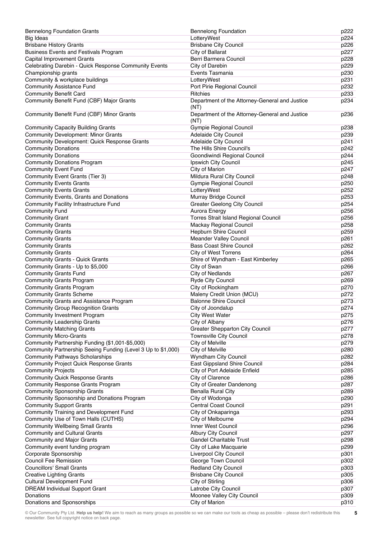| <b>Bennelong Foundation Grants</b>                           | <b>Bennelong Foundation</b>                            | p222 |
|--------------------------------------------------------------|--------------------------------------------------------|------|
| <b>Big Ideas</b>                                             | LotteryWest                                            | p224 |
| <b>Brisbane History Grants</b>                               | <b>Brisbane City Council</b>                           | p226 |
| <b>Business Events and Festivals Program</b>                 | City of Ballarat                                       | p227 |
| Capital Improvement Grants                                   | Berri Barmera Council                                  | p228 |
| Celebrating Darebin - Quick Response Community Events        | City of Darebin                                        | p229 |
| Championship grants                                          | Events Tasmania                                        | p230 |
| Community & workplace buildings                              | LotteryWest                                            | p231 |
|                                                              |                                                        |      |
| <b>Community Assistance Fund</b>                             | Port Pirie Regional Council                            | p232 |
| <b>Community Benefit Card</b>                                | <b>Ritchies</b>                                        | p233 |
| Community Benefit Fund (CBF) Major Grants                    | Department of the Attorney-General and Justice<br>(NT) | p234 |
| Community Benefit Fund (CBF) Minor Grants                    | Department of the Attorney-General and Justice<br>(NT) | p236 |
| <b>Community Capacity Building Grants</b>                    | Gympie Regional Council                                | p238 |
| Community Development: Minor Grants                          | Adelaide City Council                                  | p239 |
| Community Development: Quick Response Grants                 | <b>Adelaide City Council</b>                           | p241 |
| <b>Community Donations</b>                                   | The Hills Shire Council's                              | p242 |
| <b>Community Donations</b>                                   | Goondiwindi Regional Council                           | p244 |
| <b>Community Donations Program</b>                           | Ipswich City Council                                   | p245 |
| <b>Community Event Fund</b>                                  | City of Marion                                         | p247 |
| Community Event Grants (Tier 3)                              | Mildura Rural City Council                             | p248 |
| <b>Community Events Grants</b>                               | <b>Gympie Regional Council</b>                         | p250 |
|                                                              |                                                        |      |
| <b>Community Events Grants</b>                               | LotteryWest                                            | p252 |
| Community Events, Grants and Donations                       | Murray Bridge Council                                  | p253 |
| Community Facility Infrastructure Fund                       | <b>Greater Geelong City Council</b>                    | p254 |
| <b>Community Fund</b>                                        | <b>Aurora Energy</b>                                   | p256 |
| <b>Community Grant</b>                                       | Torres Strait Island Regional Council                  | p256 |
| <b>Community Grants</b>                                      | Mackay Regional Council                                | p258 |
| <b>Community Grants</b>                                      | Hepburn Shire Council                                  | p259 |
| <b>Community Grants</b>                                      | <b>Meander Valley Council</b>                          | p261 |
| <b>Community Grants</b>                                      | <b>Bass Coast Shire Council</b>                        | p262 |
| <b>Community Grants</b>                                      | <b>City of West Torrens</b>                            | p264 |
| <b>Community Grants - Quick Grants</b>                       | Shire of Wyndham - East Kimberley                      | p265 |
| Community Grants - Up to \$5,000                             | City of Swan                                           | p266 |
| <b>Community Grants Fund</b>                                 | <b>City of Nedlands</b>                                | p267 |
| <b>Community Grants Program</b>                              | Ryde City Council                                      | p269 |
|                                                              |                                                        |      |
| <b>Community Grants Program</b>                              | City of Rockingham                                     | p270 |
| <b>Community Grants Scheme</b>                               | Maleny Credit Union (MCU)                              | p272 |
| Community Grants and Assistance Program                      | <b>Balonne Shire Council</b>                           | p273 |
| <b>Community Group Recognition Grants</b>                    | City of Joondalup                                      | p274 |
| <b>Community Investment Program</b>                          | <b>City West Water</b>                                 | p275 |
| <b>Community Leadership Grants</b>                           | City of Albany                                         | p276 |
| <b>Community Matching Grants</b>                             | Greater Shepparton City Council                        | p277 |
| <b>Community Micro-Grants</b>                                | <b>Townsville City Council</b>                         | p278 |
| Community Partnership Funding (\$1,001-\$5,000)              | City of Melville                                       | p279 |
| Community Partnership Seeing Funding (Level 3 Up to \$1,000) | <b>City of Melville</b>                                | p280 |
| <b>Community Pathways Scholarships</b>                       | <b>Wyndham City Council</b>                            | p282 |
| <b>Community Project Quick Response Grants</b>               | East Gippsland Shire Council                           | p284 |
| <b>Community Projects</b>                                    | City of Port Adelaide Enfield                          | p285 |
| <b>Community Quick Response Grants</b>                       | City of Clarence                                       | p286 |
| Community Response Grants Program                            | <b>City of Greater Dandenong</b>                       | p287 |
| Community Sponsorship Grants                                 | <b>Benalla Rural City</b>                              | p289 |
|                                                              |                                                        |      |
| Community Sponsorship and Donations Program                  | City of Wodonga                                        | p290 |
| <b>Community Support Grants</b>                              | Central Coast Council                                  | p291 |
| Community Training and Development Fund                      | City of Onkaparinga                                    | p293 |
| Community Use of Town Halls (CUTHS)                          | City of Melbourne                                      | p294 |
| <b>Community Wellbeing Small Grants</b>                      | Inner West Council                                     | p296 |
| <b>Community and Cultural Grants</b>                         | Albury City Council                                    | p297 |
| Community and Major Grants                                   | Gandel Charitable Trust                                | p298 |
| Community event funding program                              | City of Lake Macquarie                                 | p299 |
| Corporate Sponsorship                                        | Liverpool City Council                                 | p301 |
| Council Fee Remission                                        | George Town Council                                    | p302 |
| <b>Councillors' Small Grants</b>                             | <b>Redland City Council</b>                            | p303 |
| <b>Creative Lighting Grants</b>                              | <b>Brisbane City Council</b>                           | p305 |
| <b>Cultural Development Fund</b>                             | City of Stirling                                       | p306 |
| <b>DREAM Individual Support Grant</b>                        | Latrobe City Council                                   | p307 |
| Donations                                                    | Moonee Valley City Council                             | p309 |
|                                                              |                                                        |      |
| Donations and Sponsorships                                   | City of Marion                                         | p310 |

<sup>©</sup> Our Community Pty Ltd. **Help us help!** We aim to reach as many groups as possible so we can make our tools as cheap as possible – please don't redistribute this newsletter. See full copyright notice on back page.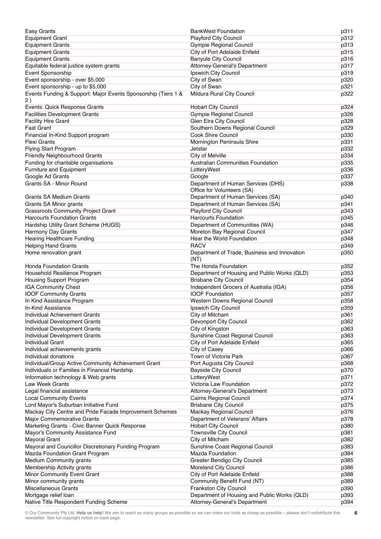| Easy Grants                                                    | <b>BankWest Foundation</b>                                                    | p311         |
|----------------------------------------------------------------|-------------------------------------------------------------------------------|--------------|
| <b>Equipment Grant</b>                                         | <b>Playford City Council</b>                                                  | p312         |
| <b>Equipment Grants</b>                                        | Gympie Regional Council                                                       | p313         |
| <b>Equipment Grants</b>                                        | City of Port Adelaide Enfield                                                 | p315         |
| <b>Equipment Grants</b>                                        | <b>Banyule City Council</b>                                                   | p316         |
| Equitable federal justice system grants                        | Attorney-General's Department                                                 | p317         |
|                                                                | Ipswich City Council                                                          | p319         |
| Event Sponsorship                                              |                                                                               |              |
| Event sponsorship - over \$5,000                               | City of Swan                                                                  | p320         |
| Event sponsorship - up to \$5,000                              | City of Swan                                                                  | p321         |
| Events Funding & Support: Major Events Sponsorship (Tiers 1 &  | Mildura Rural City Council                                                    | p322         |
| 2)                                                             |                                                                               |              |
| Events: Quick Response Grants                                  | <b>Hobart City Council</b>                                                    | p324         |
| <b>Facilities Development Grants</b>                           | Gympie Regional Council                                                       | p326         |
| <b>Facility Hire Grant</b>                                     | Glen Eira City Council                                                        | p328         |
| <b>Fast Grant</b>                                              | Southern Downs Regional Council                                               | p329         |
| Financial In-Kind Support program                              | Cook Shire Council                                                            | p330         |
| Flexi Grants                                                   | Mornington Peninsula Shire                                                    | p331         |
| <b>Flying Start Program</b>                                    | Jetstar                                                                       | p332         |
| Friendly Neighbourhood Grants                                  | City of Melville                                                              | p334         |
| Funding for charitable organisations                           | Australian Communities Foundation                                             | p335         |
|                                                                |                                                                               |              |
| Furniture and Equipment                                        | LotteryWest                                                                   | p336         |
| Google Ad Grants                                               | Google                                                                        | p337         |
| Grants SA - Minor Round                                        | Department of Human Services (DHS)                                            | p338         |
|                                                                | Office for Volunteers (SA)                                                    |              |
| <b>Grants SA Medium Grants</b>                                 | Department of Human Services (SA)                                             | p340         |
| Grants SA Minor grants                                         | Department of Human Services (SA)                                             | p341         |
| <b>Grassroots Community Project Grant</b>                      | <b>Playford City Council</b>                                                  | p343         |
| <b>Harcourts Foundation Grants</b>                             | <b>Harcourts Foundation</b>                                                   | p345         |
| Hardship Utility Grant Scheme (HUGS)                           | Department of Communities (WA)                                                | p346         |
| Harmony Day Grants                                             | Moreton Bay Regional Council                                                  | p347         |
| <b>Hearing Healthcare Funding</b>                              | Hear the World Foundation                                                     | p348         |
| <b>Helping Hand Grants</b>                                     | <b>RACV</b>                                                                   | p349         |
| Home renovation grant                                          | Department of Trade, Business and Innovation                                  | p350         |
|                                                                | (NT)                                                                          |              |
| <b>Honda Foundation Grants</b>                                 | The Honda Foundation                                                          | p352         |
| Household Resilience Program                                   |                                                                               |              |
|                                                                | Department of Housing and Public Works (QLD)                                  | p353         |
| Housing Support Program                                        | <b>Brisbane City Council</b>                                                  | p354         |
| <b>IGA Community Chest</b>                                     | Independent Grocers of Australia (IGA)                                        | p356         |
| <b>IOOF Community Grants</b>                                   | <b>IOOF Foundation</b>                                                        | p357         |
| In Kind Assistance Program                                     | Western Downs Regional Council                                                | p358         |
| In-Kind Assistance                                             | Ipswich City Council                                                          | p359         |
| Individual Achievement Grants                                  | City of Mitcham                                                               | p361         |
| Individual Development Grants                                  | Devonport City Council                                                        | p362         |
| Individual Development Grants                                  | City of Kingston                                                              | p363         |
| Individual Development Grants                                  | Sunshine Coast Regional Council                                               | p363         |
| <b>Individual Grant</b>                                        | City of Port Adelaide Enfield                                                 | p365         |
| Individual achievements grants                                 | City of Casey                                                                 | p366         |
| Individual donations                                           | Town of Victoria Park                                                         | p367         |
| Individual/Group Active Community Achievement Grant            | Port Augusta City Council                                                     | p368         |
| Individuals or Families in Financial Hardship                  | <b>Bayside City Council</b>                                                   | p370         |
| Information technology & Web grants                            | LotteryWest                                                                   | p371         |
|                                                                |                                                                               |              |
| Law Week Grants                                                | Victoria Law Foundation                                                       | p372         |
| Legal financial assistance                                     | Attorney-General's Department                                                 | p373         |
| <b>Local Community Events</b>                                  | Cairns Regional Council                                                       | p374         |
| Lord Mayor's Suburban Initiative Fund                          | <b>Brisbane City Council</b>                                                  | p375         |
| Mackay City Centre and Pride Facade Improvement Schemes        | Mackay Regional Council                                                       | p376         |
| Major Commemorative Grants                                     | Department of Veterans' Affairs                                               | p378         |
| Marketing Grants - Civic Banner Quick Response                 | <b>Hobart City Council</b>                                                    | p380         |
| Mayor's Community Assistance Fund                              | <b>Townsville City Council</b>                                                | p381         |
| <b>Mayoral Grant</b>                                           | City of Mitcham                                                               | p382         |
| Mayoral and Councillor Discretionary Funding Program           | Sunshine Coast Regional Council                                               | p383         |
| Mazda Foundation Grant Program                                 | Mazda Foundation                                                              | p384         |
| Medium Community grants                                        | Greater Bendigo City Council                                                  | p385         |
| Membership Activity grants                                     | Moreland City Council                                                         | p386         |
| Minor Community Event Grant                                    | City of Port Adelaide Enfield                                                 | p388         |
| Minor community grants                                         |                                                                               |              |
|                                                                |                                                                               |              |
|                                                                | Community Benefit Fund (NT)                                                   | p389         |
| <b>Miscellaneous Grants</b>                                    | Frankston City Council                                                        | p390         |
| Mortgage relief loan<br>Native Title Respondent Funding Scheme | Department of Housing and Public Works (QLD)<br>Attorney-General's Department | p393<br>p394 |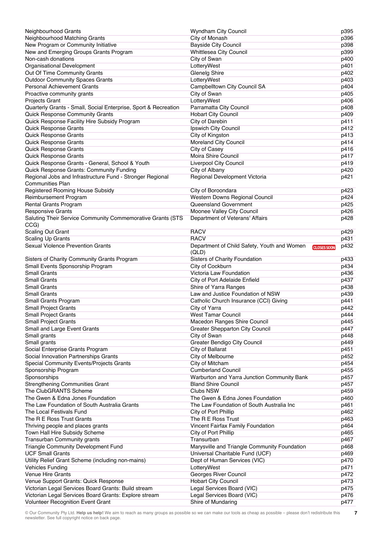| Neighbourhood Grants                                                                       | Wyndham City Council                                                       | p395 |
|--------------------------------------------------------------------------------------------|----------------------------------------------------------------------------|------|
| Neighbourhood Matching Grants                                                              | City of Monash                                                             | p396 |
| New Program or Community Initiative                                                        | <b>Bayside City Council</b>                                                | p398 |
| New and Emerging Groups Grants Program                                                     | Whittlesea City Council                                                    | p399 |
| Non-cash donations                                                                         | City of Swan                                                               | p400 |
| Organisational Development                                                                 | LotteryWest                                                                | p401 |
| Out Of Time Community Grants                                                               | <b>Glenelg Shire</b>                                                       | p402 |
| <b>Outdoor Community Spaces Grants</b>                                                     | LotteryWest                                                                | p403 |
| <b>Personal Achievement Grants</b>                                                         | Campbelltown City Council SA                                               | p404 |
| Proactive community grants                                                                 | City of Swan                                                               | p405 |
| <b>Projects Grant</b>                                                                      | LotteryWest                                                                | p406 |
| Quarterly Grants - Small, Social Enterprise, Sport & Recreation                            | Parramatta City Council                                                    | p408 |
| Quick Response Community Grants                                                            | <b>Hobart City Council</b>                                                 | p409 |
| Quick Response Facility Hire Subsidy Program                                               | City of Darebin                                                            | p411 |
| Quick Response Grants                                                                      | Ipswich City Council                                                       | p412 |
| Quick Response Grants                                                                      | City of Kingston                                                           | p413 |
| Quick Response Grants                                                                      | Moreland City Council                                                      | p414 |
| <b>Quick Response Grants</b>                                                               | City of Casey                                                              | p416 |
| Quick Response Grants                                                                      | Moira Shire Council                                                        | p417 |
|                                                                                            |                                                                            |      |
| Quick Response Grants - General, School & Youth                                            | Liverpool City Council                                                     | p419 |
| Quick Response Grants: Community Funding                                                   | City of Albany                                                             | p420 |
| Regional Jobs and Infrastructure Fund - Stronger Regional<br><b>Communities Plan</b>       | Regional Development Victoria                                              | p421 |
| Registered Rooming House Subsidy                                                           | City of Boroondara                                                         | p423 |
| Reimbursement Program                                                                      | Western Downs Regional Council                                             | p424 |
| Rental Grants Program                                                                      | Queensland Government                                                      | p425 |
| <b>Responsive Grants</b>                                                                   | Moonee Valley City Council                                                 | p426 |
| Saluting Their Service Community Commemorative Grants (STS                                 | Department of Veterans' Affairs                                            | p428 |
| CCG)                                                                                       |                                                                            |      |
| Scaling Out Grant                                                                          | <b>RACV</b>                                                                | p429 |
| <b>Scaling Up Grants</b>                                                                   | <b>RACV</b>                                                                | p431 |
| <b>Sexual Violence Prevention Grants</b>                                                   | Department of Child Safety, Youth and Women<br><b>CLOSES SOON</b><br>(QLD) | p432 |
| Sisters of Charity Community Grants Program                                                | Sisters of Charity Foundation                                              | p433 |
|                                                                                            |                                                                            |      |
|                                                                                            |                                                                            |      |
| Small Events Sponsorship Program                                                           | City of Cockburn                                                           | p434 |
| <b>Small Grants</b>                                                                        | Victoria Law Foundation                                                    | p436 |
| <b>Small Grants</b>                                                                        | City of Port Adelaide Enfield                                              | p437 |
| <b>Small Grants</b>                                                                        | Shire of Yarra Ranges                                                      | p438 |
| <b>Small Grants</b>                                                                        | Law and Justice Foundation of NSW                                          | p439 |
| Small Grants Program                                                                       | Catholic Church Insurance (CCI) Giving                                     | p441 |
| Small Project Grants                                                                       | City of Yarra                                                              | p442 |
| <b>Small Project Grants</b>                                                                | West Tamar Council                                                         | p444 |
| <b>Small Project Grants</b>                                                                | Macedon Ranges Shire Council                                               | p445 |
| Small and Large Event Grants                                                               | Greater Shepparton City Council                                            | p447 |
| Small grants                                                                               | City of Swan                                                               | p448 |
| Small grants                                                                               | <b>Greater Bendigo City Council</b>                                        | p449 |
| Social Enterprise Grants Program                                                           | City of Ballarat                                                           | p451 |
| Social Innovation Partnerships Grants                                                      | City of Melbourne                                                          | p452 |
| Special Community Events/Projects Grants                                                   | City of Mitcham                                                            | p454 |
| Sponsorship Program                                                                        | <b>Cumberland Council</b>                                                  | p455 |
| Sponsorships                                                                               | Warburton and Yarra Junction Community Bank                                | p457 |
| <b>Strengthening Communities Grant</b>                                                     | <b>Bland Shire Council</b>                                                 | p457 |
| The ClubGRANTS Scheme                                                                      | Clubs NSW                                                                  | p459 |
| The Gwen & Edna Jones Foundation                                                           | The Gwen & Edna Jones Foundation                                           | p460 |
| The Law Foundation of South Australia Grants                                               | The Law Foundation of South Australia Inc                                  | p461 |
| The Local Festivals Fund                                                                   | City of Port Phillip                                                       | p462 |
| The R E Ross Trust Grants                                                                  | The R E Ross Trust                                                         | p463 |
| Thriving people and places grants                                                          | Vincent Fairfax Family Foundation                                          | p464 |
| Town Hall Hire Subsidy Scheme                                                              | City of Port Phillip                                                       | p465 |
| Transurban Community grants                                                                | Transurban                                                                 | p467 |
| Triangle Community Development Fund                                                        | Marysville and Triangle Community Foundation                               | p468 |
| <b>UCF Small Grants</b>                                                                    | Universal Charitable Fund (UCF)                                            | p469 |
| Utility Relief Grant Scheme (including non-mains)                                          | Dept of Human Services (VIC)                                               | p470 |
| <b>Vehicles Funding</b>                                                                    | LotteryWest                                                                | p471 |
| Venue Hire Grants                                                                          | Georges River Council                                                      | p472 |
| Venue Support Grants: Quick Response                                                       | <b>Hobart City Council</b>                                                 | p473 |
| Victorian Legal Services Board Grants: Build stream                                        | Legal Services Board (VIC)                                                 | p475 |
| Victorian Legal Services Board Grants: Explore stream<br>Volunteer Recognition Event Grant | Legal Services Board (VIC)<br>Shire of Mundaring                           | p476 |

**7**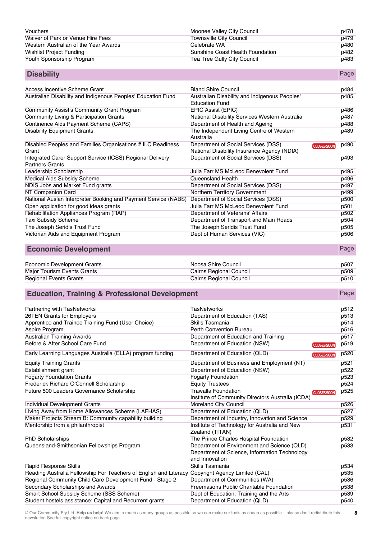| Vouchers                              | Moonee Valley City Council       | p478 |
|---------------------------------------|----------------------------------|------|
| Waiver of Park or Venue Hire Fees     | Townsville City Council          | p479 |
| Western Australian of the Year Awards | Celebrate WA                     | p480 |
| Wishlist Project Funding              | Sunshine Coast Health Foundation | p482 |
| Youth Sponsorship Program             | Tea Tree Gully City Council      | p483 |

| <b>Disability</b> | Page |
|-------------------|------|
|-------------------|------|

| Access Incentive Scheme Grant                                                       | <b>Bland Shire Council</b>                                                         |                    | p484 |
|-------------------------------------------------------------------------------------|------------------------------------------------------------------------------------|--------------------|------|
| Australian Disability and Indigenous Peoples' Education Fund                        | Australian Disability and Indigenous Peoples'<br><b>Education Fund</b>             |                    | p485 |
| Community Assist's Community Grant Program                                          | EPIC Assist (EPIC)                                                                 |                    | p486 |
| Community Living & Participation Grants                                             | National Disability Services Western Australia                                     |                    | p487 |
| Continence Aids Payment Scheme (CAPS)                                               | Department of Health and Ageing                                                    |                    | p488 |
| <b>Disability Equipment Grants</b>                                                  | The Independent Living Centre of Western<br>Australia                              |                    | p489 |
| Disabled Peoples and Families Organisations # ILC Readiness<br>Grant                | Department of Social Services (DSS)<br>National Disability Insurance Agency (NDIA) | <b>CLOSES SOON</b> | p490 |
| Integrated Carer Support Service (ICSS) Regional Delivery<br><b>Partners Grants</b> | Department of Social Services (DSS)                                                |                    | p493 |
| Leadership Scholarship                                                              | Julia Farr MS McLeod Benevolent Fund                                               |                    | p495 |
| Medical Aids Subsidy Scheme                                                         | Queensland Health                                                                  |                    | p496 |
| NDIS Jobs and Market Fund grants                                                    | Department of Social Services (DSS)                                                |                    | p497 |
| NT Companion Card                                                                   | Northern Territory Government                                                      |                    | p499 |
| National Auslan Interpreter Booking and Payment Service (NABS)                      | Department of Social Services (DSS)                                                |                    | p500 |
| Open application for good ideas grants                                              | Julia Farr MS McLeod Benevolent Fund                                               |                    | p501 |
| Rehabilitation Appliances Program (RAP)                                             | Department of Veterans' Affairs                                                    |                    | p502 |
| <b>Taxi Subsidy Scheme</b>                                                          | Department of Transport and Main Roads                                             |                    | p504 |
| The Joseph Seridis Trust Fund                                                       | The Joseph Seridis Trust Fund                                                      |                    | p505 |
| Victorian Aids and Equipment Program                                                | Dept of Human Services (VIC)                                                       |                    | p506 |
|                                                                                     |                                                                                    |                    |      |

## **Economic Development** Page

| Economic Development Grants | Noosa Shire Council     | p507 |
|-----------------------------|-------------------------|------|
| Major Tourism Events Grants | Cairns Regional Council | p509 |
| Regional Events Grants      | Cairns Regional Council | p510 |

## **Education, Training & Professional Development Page 2014 Page 2014 Page 2014 Page**

Partnering with TasNetworks **TasNetworks TasNetworks Partnering with TasNetworks p512** 26TEN Grants for Employers Department of Education (TAS) p513 Apprentice and Trainee Training Fund (User Choice) Skills Tasmania p514 Aspire Program **Perth Convention Bureau p516** Perth Convention Bureau p516 Australian Training Awards<br>Before & After School Care Fund<br>
Department of Education (NSW) **CHOSESSOON** p519 Before & After School Care Fund Department of Education (NSW) prosess contained by the prosess of the prosess of the prosess of the prosess of the prosess of the prosess of the prosess of the prosess of the prosess of the Early Learning Languages Australia (ELLA) program funding Department of Education (QLD) **Fundation** p520 Equity Training Grants Department of Business and Employment (NT) p521 Establishment grant Department of Education (NSW) p522 Fogarty Foundation Grants **For the Contract of Transform Contract Foundation Fogarty Foundation Fogarty Foundation** Frederick Richard O'Connell Scholarship **Equity Trustees** p524<br>Future 500 Leaders Governance Scholarship **Equity Trawalla Foundation** p525 Future 500 Leaders Governance Scholarship CLOSES SOO Institute of Community Directors Australia (ICDA) Individual Development Grants **Moreland City Council** Moreland City Council **p526** Living Away from Home Allowances Scheme (LAFHAS) Department of Education (QLD) p527 Maker Projects Stream B: Community capability building Department of Industry, Innovation and Science p529 Mentorship from a philanthropist **Institute of Technology for Australia and New** Institute of Technology for Australia and New p531 Zealand (TITAN) PhD Scholarships **The Prince Charles Hospital Foundation** p532 Queensland-Smithsonian Fellowships Program Department of Environment and Science (QLD) p533 Department of Science, Information Technology and Innovation<br>Skills Tasmania Rapid Response Skills Skills Tasmania by Skills Tasmania and the set of the set of the set of the set of the set of the set of the set of the set of the set of the set of the set of the set of the set of the set of the set Reading Australia Fellowship For Teachers of English and Literacy Copyright Agency Limited (CAL) p535 Regional Community Child Care Development Fund - Stage 2 Department of Communities (WA) p536 Secondary Scholarships and Awards **Freemasons Public Charitable Foundation** p538 Smart School Subsidy Scheme (SSS Scheme) Dept of Education, Training and the Arts p539 Student hostels assistance: Capital and Recurrent grants Department of Education (QLD) p540

© Our Community Pty Ltd. **Help us help!** We aim to reach as many groups as possible so we can make our tools as cheap as possible – please don't redistribute this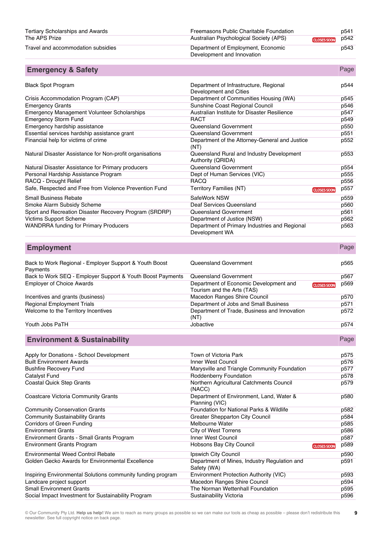| Tertiary Scholarships and Awards   | Freemasons Public Charitable Foundation                          | p541 |
|------------------------------------|------------------------------------------------------------------|------|
| The APS Prize                      | Australian Psychological Society (APS)<br><b>CLOSES SOON</b>     | p542 |
| Travel and accommodation subsidies | Department of Employment, Economic<br>Development and Innovation | p543 |

| <b>Emergency &amp; Safety</b>                            |                                                                  | Page                       |
|----------------------------------------------------------|------------------------------------------------------------------|----------------------------|
| <b>Black Spot Program</b>                                | Department of Infrastructure, Regional<br>Development and Cities | p544                       |
| Crisis Accommodation Program (CAP)                       | Department of Communities Housing (WA)                           | p545                       |
| <b>Emergency Grants</b>                                  | Sunshine Coast Regional Council                                  | p546                       |
| <b>Emergency Management Volunteer Scholarships</b>       | Australian Institute for Disaster Resilience                     | p547                       |
| <b>Emergency Storm Fund</b>                              | <b>RACT</b>                                                      | p549                       |
| Emergency hardship assistance                            | Queensland Government                                            | p550                       |
| Essential services hardship assistance grant             | Queensland Government                                            | p551                       |
| Financial help for victims of crime                      | Department of the Attorney-General and Justice<br>(NT)           | p552                       |
| Natural Disaster Assistance for Non-profit organisations | Queensland Rural and Industry Development<br>Authority (QRIDA)   | p553                       |
| Natural Disaster Assistance for Primary producers        | Queensland Government                                            | p554                       |
| Personal Hardship Assistance Program                     | Dept of Human Services (VIC)                                     | p555                       |
| RACQ - Drought Relief                                    | <b>RACQ</b>                                                      | p556                       |
| Safe, Respected and Free from Violence Prevention Fund   | Territory Families (NT)                                          | p557<br><b>CLOSES SOON</b> |
| <b>Small Business Rebate</b>                             | SafeWork NSW                                                     | p559                       |
| Smoke Alarm Subsidy Scheme                               | Deaf Services Queensland                                         | p560                       |
| Sport and Recreation Disaster Recovery Program (SRDRP)   | Queensland Government                                            | p561                       |
| <b>Victims Support Scheme</b>                            | Department of Justice (NSW)                                      | p562                       |
| <b>WANDRRA funding for Primary Producers</b>             | Department of Primary Industries and Regional<br>Development WA  | p563                       |

| <b>Employment</b>                                                  |                                                                      |                    | Page |
|--------------------------------------------------------------------|----------------------------------------------------------------------|--------------------|------|
| Back to Work Regional - Employer Support & Youth Boost<br>Payments | Queensland Government                                                |                    | p565 |
| Back to Work SEQ - Employer Support & Youth Boost Payments         | Queensland Government                                                |                    | p567 |
| <b>Employer of Choice Awards</b>                                   | Department of Economic Development and<br>Tourism and the Arts (TAS) | <b>CLOSES SOON</b> | p569 |
| Incentives and grants (business)                                   | Macedon Ranges Shire Council                                         |                    | p570 |
| <b>Regional Employment Trials</b>                                  | Department of Jobs and Small Business                                |                    | p571 |
| Welcome to the Territory Incentives                                | Department of Trade, Business and Innovation<br>(NT)                 |                    | p572 |

The Vouth Jobs PaTH p574

**Environment & Sustainability Page** 

| Apply for Donations - School Development                    | Town of Victoria Park                                       | p575 |
|-------------------------------------------------------------|-------------------------------------------------------------|------|
| <b>Built Environment Awards</b>                             | <b>Inner West Council</b>                                   | p576 |
| <b>Bushfire Recovery Fund</b>                               | Marysville and Triangle Community Foundation                | p577 |
| Catalyst Fund                                               | Roddenberry Foundation                                      | p578 |
| Coastal Quick Step Grants                                   | Northern Agricultural Catchments Council<br>(NACC)          | p579 |
| Coastcare Victoria Community Grants                         | Department of Environment, Land, Water &<br>Planning (VIC)  | p580 |
| <b>Community Conservation Grants</b>                        | Foundation for National Parks & Wildlife                    | p582 |
| <b>Community Sustainability Grants</b>                      | Greater Shepparton City Council                             | p584 |
| Corridors of Green Funding                                  | Melbourne Water                                             | p585 |
| <b>Environment Grants</b>                                   | <b>City of West Torrens</b>                                 | p586 |
| Environment Grants - Small Grants Program                   | Inner West Council                                          | p587 |
| <b>Environment Grants Program</b>                           | Hobsons Bay City Council<br>CLOSES SOON                     | p589 |
| <b>Environmental Weed Control Rebate</b>                    | Ipswich City Council                                        | p590 |
| Golden Gecko Awards for Environmental Excellence            | Department of Mines, Industry Regulation and<br>Safety (WA) | p591 |
| Inspiring Environmental Solutions community funding program | Environment Protection Authority (VIC)                      | p593 |
| Landcare project support                                    | Macedon Ranges Shire Council                                | p594 |
| <b>Small Environment Grants</b>                             | The Norman Wettenhall Foundation                            | p595 |
| Social Impact Investment for Sustainability Program         | Sustainability Victoria                                     | p596 |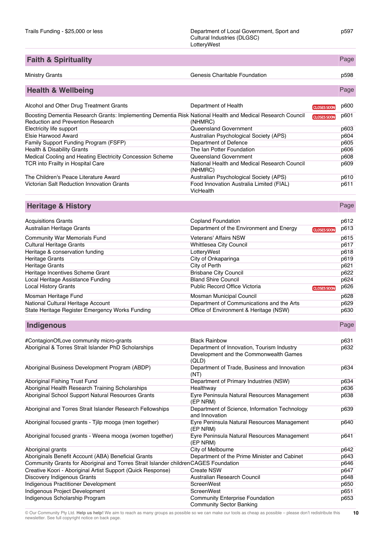| <b>Faith &amp; Spirituality</b>                                                                                                                 |                                                              |                    | Page |
|-------------------------------------------------------------------------------------------------------------------------------------------------|--------------------------------------------------------------|--------------------|------|
| Ministry Grants                                                                                                                                 | Genesis Charitable Foundation                                |                    | p598 |
|                                                                                                                                                 |                                                              |                    |      |
| <b>Health &amp; Wellbeing</b>                                                                                                                   |                                                              |                    | Page |
| Alcohol and Other Drug Treatment Grants                                                                                                         | Department of Health                                         | <b>CLOSES SOON</b> | p600 |
| Boosting Dementia Research Grants: Implementing Dementia Risk National Health and Medical Research Council<br>Reduction and Prevention Research | (NHMRC)                                                      | <b>CLOSES SOON</b> | p601 |
| Electricity life support                                                                                                                        | Queensland Government                                        |                    | p603 |
| Elsie Harwood Award                                                                                                                             | Australian Psychological Society (APS)                       |                    | p604 |
| Family Support Funding Program (FSFP)                                                                                                           | Department of Defence                                        |                    | p605 |
| Health & Disability Grants                                                                                                                      | The Ian Potter Foundation                                    |                    | p606 |
| Medical Cooling and Heating Electricity Concession Scheme                                                                                       | Queensland Government                                        |                    | p608 |
| TCR into Frailty in Hospital Care                                                                                                               | National Health and Medical Research Council<br>(NHMRC)      |                    | p609 |
| The Children's Peace Literature Award                                                                                                           | Australian Psychological Society (APS)                       |                    | p610 |
| Victorian Salt Reduction Innovation Grants                                                                                                      | Food Innovation Australia Limited (FIAL)<br><b>VicHealth</b> |                    | p611 |
| <b>Heritage &amp; History</b>                                                                                                                   |                                                              |                    | Page |
|                                                                                                                                                 |                                                              |                    |      |

| <b>Acquisitions Grants</b>                      | <b>Copland Foundation</b>                 |                    | p612 |
|-------------------------------------------------|-------------------------------------------|--------------------|------|
| Australian Heritage Grants                      | Department of the Environment and Energy  | <b>CLOSES SOON</b> | p613 |
| <b>Community War Memorials Fund</b>             | <b>Veterans' Affairs NSW</b>              |                    | p615 |
| <b>Cultural Heritage Grants</b>                 | Whittlesea City Council                   |                    | p617 |
| Heritage & conservation funding                 | LotteryWest                               |                    | p618 |
| Heritage Grants                                 | City of Onkaparinga                       |                    | p619 |
| Heritage Grants                                 | City of Perth                             |                    | p621 |
| Heritage Incentives Scheme Grant                | <b>Brisbane City Council</b>              |                    | p622 |
| Local Heritage Assistance Funding               | <b>Bland Shire Council</b>                |                    | p624 |
| <b>Local History Grants</b>                     | Public Record Office Victoria             | <b>CLOSES SOON</b> | p626 |
| Mosman Heritage Fund                            | Mosman Municipal Council                  |                    | p628 |
| National Cultural Heritage Account              | Department of Communications and the Arts |                    | p629 |
| State Heritage Register Emergency Works Funding | Office of Environment & Heritage (NSW)    |                    | p630 |

**Indigenous** Page

|                                                                                      | <b>Black Rainbow</b>                                 |      |
|--------------------------------------------------------------------------------------|------------------------------------------------------|------|
| #ContagionOfLove community micro-grants                                              |                                                      | p631 |
| Aboriginal & Torres Strait Islander PhD Scholarships                                 | Department of Innovation, Tourism Industry           | p632 |
|                                                                                      | Development and the Commonwealth Games               |      |
|                                                                                      | (QLD)                                                |      |
| Aboriginal Business Development Program (ABDP)                                       | Department of Trade, Business and Innovation<br>(NT) | p634 |
| Aboriginal Fishing Trust Fund                                                        | Department of Primary Industries (NSW)               | p634 |
| Aboriginal Health Research Training Scholarships                                     | Healthway                                            | p636 |
| Aboriginal School Support Natural Resources Grants                                   | Eyre Peninsula Natural Resources Management          | p638 |
|                                                                                      | (EP NRM)                                             |      |
| Aboriginal and Torres Strait Islander Research Fellowships                           | Department of Science, Information Technology        | p639 |
|                                                                                      | and Innovation                                       |      |
| Aboriginal focused grants - Tillp mooga (men together)                               | Eyre Peninsula Natural Resources Management          | p640 |
|                                                                                      | (EP NRM)                                             |      |
| Aboriginal focused grants - Weena mooga (women together)                             | Eyre Peninsula Natural Resources Management          | p641 |
|                                                                                      | (EP NRM)                                             |      |
| Aboriginal grants                                                                    | City of Melbourne                                    | p642 |
| Aboriginals Benefit Account (ABA) Beneficial Grants                                  | Department of the Prime Minister and Cabinet         | p643 |
| Community Grants for Aboriginal and Torres Strait Islander children CAGES Foundation |                                                      | p646 |
| Creative Koori - Aboriginal Artist Support (Quick Response)                          | <b>Create NSW</b>                                    | p647 |
| Discovery Indigenous Grants                                                          | Australian Research Council                          | p648 |
| Indigenous Practitioner Development                                                  | ScreenWest                                           | p650 |
| Indigenous Project Development                                                       | ScreenWest                                           | p651 |
| Indigenous Scholarship Program                                                       | <b>Community Enterprise Foundation</b>               | p653 |
|                                                                                      | <b>Community Sector Banking</b>                      |      |
|                                                                                      |                                                      |      |

p597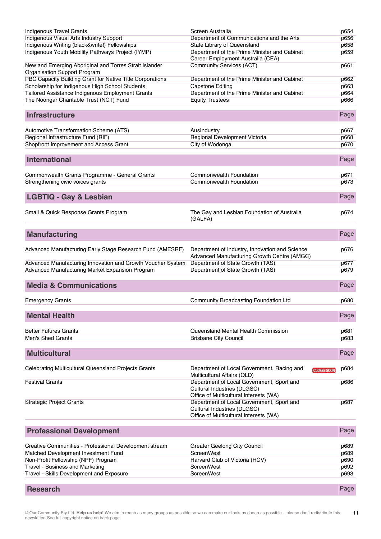| <b>Indigenous Travel Grants</b>                                                        | Screen Australia                                                                                                   | p654         |
|----------------------------------------------------------------------------------------|--------------------------------------------------------------------------------------------------------------------|--------------|
| <b>Indigenous Visual Arts Industry Support</b>                                         | Department of Communications and the Arts                                                                          | p656<br>p658 |
| Indigenous Writing (black&write!) Fellowships                                          | State Library of Queensland                                                                                        |              |
| Indigenous Youth Mobility Pathways Project (IYMP)                                      | Department of the Prime Minister and Cabinet<br>Career Employment Australia (CEA)                                  | p659         |
| New and Emerging Aboriginal and Torres Strait Islander<br>Organisation Support Program | <b>Community Services (ACT)</b>                                                                                    | p661         |
| PBC Capacity Building Grant for Native Title Corporations                              | Department of the Prime Minister and Cabinet                                                                       | p662         |
| Scholarship for Indigenous High School Students                                        | <b>Capstone Editing</b>                                                                                            | p663         |
| Tailored Assistance Indigenous Employment Grants                                       | Department of the Prime Minister and Cabinet                                                                       | p664         |
| The Noongar Charitable Trust (NCT) Fund                                                | <b>Equity Trustees</b>                                                                                             | p666         |
| <b>Infrastructure</b>                                                                  |                                                                                                                    | Page         |
| Automotive Transformation Scheme (ATS)                                                 | AusIndustry                                                                                                        | p667         |
| Regional Infrastructure Fund (RIF)                                                     | Regional Development Victoria                                                                                      | p668         |
| Shopfront Improvement and Access Grant                                                 | City of Wodonga                                                                                                    | p670         |
| <b>International</b>                                                                   |                                                                                                                    | Page         |
| Commonwealth Grants Programme - General Grants                                         | <b>Commonwealth Foundation</b>                                                                                     | p671         |
| Strengthening civic voices grants                                                      | <b>Commonwealth Foundation</b>                                                                                     | p673         |
|                                                                                        |                                                                                                                    |              |
| <b>LGBTIQ - Gay &amp; Lesbian</b>                                                      |                                                                                                                    | Page         |
| Small & Quick Response Grants Program                                                  | The Gay and Lesbian Foundation of Australia<br>(GALFA)                                                             | p674         |
| <b>Manufacturing</b>                                                                   |                                                                                                                    | Page         |
| Advanced Manufacturing Early Stage Research Fund (AMESRF)                              | Department of Industry, Innovation and Science<br>Advanced Manufacturing Growth Centre (AMGC)                      | p676         |
| Advanced Manufacturing Innovation and Growth Voucher System                            | Department of State Growth (TAS)                                                                                   | p677         |
| Advanced Manufacturing Market Expansion Program                                        | Department of State Growth (TAS)                                                                                   | p679         |
| <b>Media &amp; Communications</b>                                                      |                                                                                                                    | Page         |
| <b>Emergency Grants</b>                                                                | Community Broadcasting Foundation Ltd                                                                              | p680         |
| <b>Mental Health</b>                                                                   |                                                                                                                    | Page         |
| <b>Better Futures Grants</b>                                                           | Queensland Mental Health Commission                                                                                | p681         |
| <b>Men's Shed Grants</b>                                                               | <b>Brisbane City Council</b>                                                                                       | p683         |
|                                                                                        |                                                                                                                    |              |
| <b>Multicultural</b>                                                                   |                                                                                                                    | Page         |
| Celebrating Multicultural Queensland Projects Grants                                   | Department of Local Government, Racing and<br><b>CLOSES SOON</b><br>Multicultural Affairs (QLD)                    | p684         |
| <b>Festival Grants</b>                                                                 | Department of Local Government, Sport and<br>Cultural Industries (DLGSC)<br>Office of Multicultural Interests (WA) | p686         |
| <b>Strategic Project Grants</b>                                                        | Department of Local Government, Sport and<br>Cultural Industries (DLGSC)<br>Office of Multicultural Interests (WA) | p687         |
| <b>Professional Development</b>                                                        |                                                                                                                    | Page         |
| Creative Communities - Professional Development stream                                 | <b>Greater Geelong City Council</b>                                                                                | p689         |
| Matched Development Investment Fund                                                    | <b>ScreenWest</b>                                                                                                  | p689         |
| Non-Profit Fellowship (NPF) Program                                                    | Harvard Club of Victoria (HCV)                                                                                     | p690         |
| Travel - Business and Marketing                                                        | ScreenWest                                                                                                         | p692         |
| Travel - Skills Development and Exposure                                               | ScreenWest                                                                                                         | p693         |
| <b>Research</b>                                                                        |                                                                                                                    | Page         |

© Our Community Pty Ltd. **Help us help!** We aim to reach as many groups as possible so we can make our tools as cheap as possible – please don't redistribute this newsletter. See full copyright notice on back page. **11**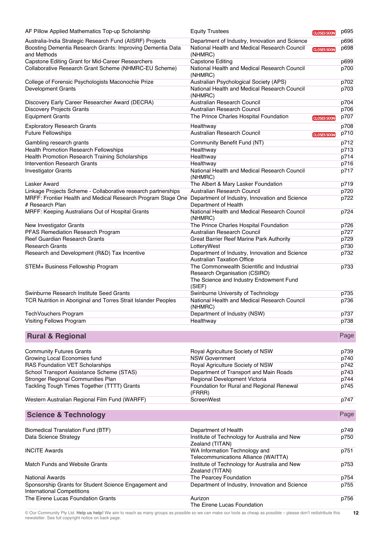| AF Pillow Applied Mathematics Top-up Scholarship                                                | <b>Equity Trustees</b>                                                                                                           | <b>CLOSES SOON</b> | p695         |
|-------------------------------------------------------------------------------------------------|----------------------------------------------------------------------------------------------------------------------------------|--------------------|--------------|
| Australia-India Strategic Research Fund (AISRF) Projects                                        | Department of Industry, Innovation and Science                                                                                   |                    | p696         |
| Boosting Dementia Research Grants: Improving Dementia Data                                      | National Health and Medical Research Council                                                                                     | <b>CLOSES SOON</b> | p698         |
| and Methods                                                                                     | (NHMRC)                                                                                                                          |                    |              |
| Capstone Editing Grant for Mid-Career Researchers                                               | <b>Capstone Editing</b>                                                                                                          |                    | p699         |
| Collaborative Research Grant Scheme (NHMRC-EU Scheme)                                           | National Health and Medical Research Council<br>(NHMRC)                                                                          |                    | p700         |
| College of Forensic Psychologists Maconochie Prize                                              | Australian Psychological Society (APS)                                                                                           |                    | p702         |
| <b>Development Grants</b>                                                                       | National Health and Medical Research Council<br>(NHMRC)                                                                          |                    | p703         |
| Discovery Early Career Researcher Award (DECRA)                                                 | Australian Research Council                                                                                                      |                    | p704         |
| <b>Discovery Projects Grants</b>                                                                | Australian Research Council                                                                                                      |                    | p706         |
| <b>Equipment Grants</b>                                                                         | The Prince Charles Hospital Foundation                                                                                           | <b>CLOSES SOON</b> | p707         |
| <b>Exploratory Research Grants</b>                                                              | Healthway                                                                                                                        |                    | p708         |
| <b>Future Fellowships</b>                                                                       | Australian Research Council                                                                                                      | <b>CLOSES SOON</b> | p710         |
|                                                                                                 |                                                                                                                                  |                    |              |
| Gambling research grants                                                                        | Community Benefit Fund (NT)                                                                                                      |                    | p712         |
| <b>Health Promotion Research Fellowships</b><br>Health Promotion Research Training Scholarships | Healthway<br>Healthway                                                                                                           |                    | p713<br>p714 |
| <b>Intervention Research Grants</b>                                                             | Healthway                                                                                                                        |                    | p716         |
| <b>Investigator Grants</b>                                                                      | National Health and Medical Research Council                                                                                     |                    | p717         |
|                                                                                                 | (NHMRC)                                                                                                                          |                    |              |
| Lasker Award                                                                                    | The Albert & Mary Lasker Foundation                                                                                              |                    | p719         |
| Linkage Projects Scheme - Collaborative research partnerships                                   | Australian Research Council                                                                                                      |                    | p720         |
| MRFF: Frontier Health and Medical Research Program Stage One                                    | Department of Industry, Innovation and Science                                                                                   |                    | p722         |
| # Research Plan                                                                                 | Department of Health                                                                                                             |                    |              |
| MRFF: Keeping Australians Out of Hospital Grants                                                | National Health and Medical Research Council<br>(NHMRC)                                                                          |                    | p724         |
| New Investigator Grants                                                                         | The Prince Charles Hospital Foundation                                                                                           |                    | p726         |
| PFAS Remediation Research Program                                                               | Australian Research Council                                                                                                      |                    | p727         |
| Reef Guardian Research Grants                                                                   | Great Barrier Reef Marine Park Authority                                                                                         |                    | p729         |
| <b>Research Grants</b>                                                                          | LotteryWest                                                                                                                      |                    | p730         |
| Research and Development (R&D) Tax Incentive                                                    | Department of Industry, Innovation and Science<br><b>Australian Taxation Office</b>                                              |                    | p732         |
| STEM+ Business Fellowship Program                                                               | The Commonwealth Scientific and Industrial<br>Research Organisation (CSIRO)<br>The Science and Industry Endowment Fund<br>(SIEF) |                    | p733         |
| Swinburne Research Institute Seed Grants                                                        | Swinburne University of Technology                                                                                               |                    | p735         |
| TCR Nutrition in Aboriginal and Torres Strait Islander Peoples                                  | National Health and Medical Research Council<br>(NHMRC)                                                                          |                    | p736         |
| TechVouchers Program                                                                            | Department of Industry (NSW)                                                                                                     |                    | p737         |
| Visiting Fellows Program                                                                        | Healthway                                                                                                                        |                    | p738         |
| <b>Rural &amp; Regional</b>                                                                     |                                                                                                                                  |                    | Page         |
|                                                                                                 |                                                                                                                                  |                    |              |
| <b>Community Futures Grants</b>                                                                 | Royal Agriculture Society of NSW                                                                                                 |                    | p739         |
| Growing Local Economies fund                                                                    | <b>NSW Government</b>                                                                                                            |                    | p740         |
| RAS Foundation VET Scholarships                                                                 | Royal Agriculture Society of NSW                                                                                                 |                    | p742         |
| School Transport Assistance Scheme (STAS)                                                       | Department of Transport and Main Roads                                                                                           |                    | p743         |
| Stronger Regional Communities Plan                                                              | Regional Development Victoria                                                                                                    |                    | p744         |
| Tackling Tough Times Together (TTTT) Grants                                                     | Foundation for Rural and Regional Renewal<br>(FRRR)                                                                              |                    | p745         |
| Western Australian Regional Film Fund (WARFF)                                                   | ScreenWest                                                                                                                       |                    | p747         |
| <b>Science &amp; Technology</b>                                                                 |                                                                                                                                  |                    | Page         |
| <b>Biomedical Translation Fund (BTF)</b>                                                        |                                                                                                                                  |                    | p749         |
| Data Science Strategy                                                                           | Department of Health<br>Institute of Technology for Australia and New                                                            |                    | p750         |
|                                                                                                 | Zealand (TITAN)                                                                                                                  |                    |              |
| <b>INCITE Awards</b>                                                                            | WA Information Technology and<br>Telecommunications Alliance (WAITTA)                                                            |                    | p751         |
| Match Funds and Website Grants                                                                  | Institute of Technology for Australia and New<br>Zealand (TITAN)                                                                 |                    | p753         |
| <b>National Awards</b>                                                                          | The Pearcey Foundation                                                                                                           |                    | p754         |
| Sponsorship Grants for Student Science Engagement and<br><b>International Competitions</b>      | Department of Industry, Innovation and Science                                                                                   |                    | p755         |
| The Eirene Lucas Foundation Grants                                                              | Aurizon                                                                                                                          |                    | p756         |
|                                                                                                 | The Eirene Lucas Foundation                                                                                                      |                    |              |

© Our Community Pty Ltd. **Help us help!** We aim to reach as many groups as possible so we can make our tools as cheap as possible – please don't redistribute this newsletter. See full copyright notice on back page. **12**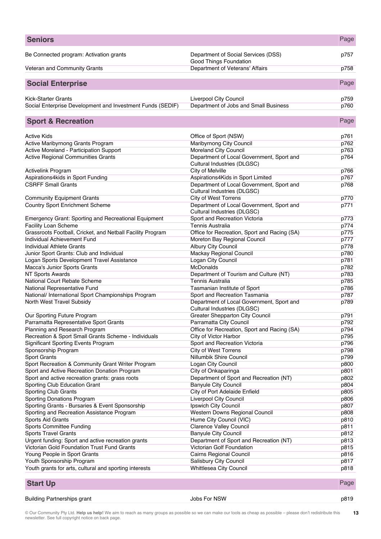| <b>Seniors</b>                                                    |                                                                          | Page         |
|-------------------------------------------------------------------|--------------------------------------------------------------------------|--------------|
| Be Connected program: Activation grants                           | Department of Social Services (DSS)                                      | p757         |
| Veteran and Community Grants                                      | Good Things Foundation<br>Department of Veterans' Affairs                | p758         |
| <b>Social Enterprise</b>                                          |                                                                          | Page         |
|                                                                   |                                                                          |              |
| <b>Kick-Starter Grants</b>                                        | Liverpool City Council                                                   | p759         |
| Social Enterprise Development and Investment Funds (SEDIF)        | Department of Jobs and Small Business                                    | p760         |
| <b>Sport &amp; Recreation</b>                                     |                                                                          | Page         |
| <b>Active Kids</b>                                                | Office of Sport (NSW)                                                    | p761         |
| Active Maribyrnong Grants Program                                 | Maribyrnong City Council                                                 | p762         |
| Active Moreland - Participation Support                           | <b>Moreland City Council</b>                                             | p763         |
| Active Regional Communities Grants                                | Department of Local Government, Sport and<br>Cultural Industries (DLGSC) | p764         |
| <b>Activelink Program</b>                                         | City of Melville                                                         | p766         |
| Aspirations4kids in Sport Funding                                 | Aspirations4Kids in Sport Limited                                        | p767         |
| <b>CSRFF Small Grants</b>                                         | Department of Local Government, Sport and<br>Cultural Industries (DLGSC) | p768         |
| <b>Community Equipment Grants</b>                                 | <b>City of West Torrens</b>                                              | p770         |
| <b>Country Sport Enrichment Scheme</b>                            | Department of Local Government, Sport and<br>Cultural Industries (DLGSC) | p771         |
| <b>Emergency Grant: Sporting and Recreational Equipment</b>       | Sport and Recreation Victoria                                            | p773         |
| <b>Facility Loan Scheme</b>                                       | <b>Tennis Australia</b>                                                  | p774         |
| Grassroots Football, Cricket, and Netball Facility Program        | Office for Recreation, Sport and Racing (SA)                             | p775         |
| Individual Achievement Fund                                       | Moreton Bay Regional Council                                             | p777         |
| Individual Athlete Grants                                         | <b>Albury City Council</b>                                               | p778         |
| Junior Sport Grants: Club and Individual                          | Mackay Regional Council                                                  | p780         |
| Logan Sports Development Travel Assistance                        | Logan City Council                                                       | p781         |
| Macca's Junior Sports Grants                                      | McDonalds                                                                | p782         |
| <b>NT Sports Awards</b>                                           | Department of Tourism and Culture (NT)                                   | p783         |
| National Court Rebate Scheme                                      | <b>Tennis Australia</b>                                                  | p785         |
| National Representative Fund                                      | Tasmanian Institute of Sport                                             | p786         |
| National/ International Sport Championships Program               | Sport and Recreation Tasmania                                            | p787         |
| North West Travel Subsidy                                         | Department of Local Government, Sport and<br>Cultural Industries (DLGSC) | p789         |
| Our Sporting Future Program                                       | <b>Greater Shepparton City Council</b>                                   | p791         |
| Parramatta Representative Sport Grants                            | Parramatta City Council                                                  | p792         |
| Planning and Research Program                                     | Office for Recreation, Sport and Racing (SA)                             | p794         |
| Recreation & Sport Small Grants Scheme - Individuals              | City of Victor Harbor<br>Sport and Recreation Victoria                   | p795         |
| <b>Significant Sporting Events Program</b><br>Sponsorship Program | <b>City of West Torrens</b>                                              | p796<br>p798 |
| <b>Sport Grants</b>                                               | Nillumbik Shire Council                                                  | p799         |
| Sport Recreation & Community Grant Writer Program                 | Logan City Council                                                       | p800         |
| Sport and Active Recreation Donation Program                      | City of Onkaparinga                                                      | p801         |
| Sport and active recreation grants: grass roots                   | Department of Sport and Recreation (NT)                                  | p802         |
| Sporting Club Education Grant                                     | <b>Banyule City Council</b>                                              | p804         |
| Sporting Club Grants                                              | City of Port Adelaide Enfield                                            | p805         |
| Sporting Donations Program                                        | <b>Liverpool City Council</b>                                            | p806         |
| Sporting Grants - Bursaries & Event Sponsorship                   | Ipswich City Council                                                     | p807         |
| Sporting and Recreation Assistance Program                        | Western Downs Regional Council                                           | p808         |
| Sports Aid Grants                                                 | Hume City Council (VIC)                                                  | p810         |
| Sports Committee Funding                                          | <b>Clarence Valley Council</b>                                           | p811         |
| <b>Sports Travel Grants</b>                                       | <b>Banyule City Council</b>                                              | p812         |
| Urgent funding: Sport and active recreation grants                | Department of Sport and Recreation (NT)                                  | p813         |
| Victorian Gold Foundation Trust Fund Grants                       | Victorian Golf Foundation                                                | p815         |
| Young People in Sport Grants                                      | Cairns Regional Council                                                  | p816         |
| Youth Sponsorship Program                                         | Salisbury City Council                                                   | p817         |
| Youth grants for arts, cultural and sporting interests            | <b>Whittlesea City Council</b>                                           | p818         |
| <b>Start Up</b>                                                   |                                                                          | Page         |

Building Partnerships grant and the state of the South Solos For NSW p819 p819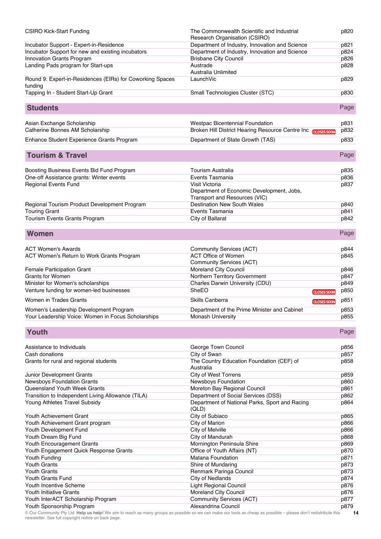| <b>CSIRO Kick-Start Funding</b>                                                    | The Commonwealth Scientific and Industrial<br>Research Organisation (CSIRO)           |                                          | p820         |
|------------------------------------------------------------------------------------|---------------------------------------------------------------------------------------|------------------------------------------|--------------|
| Incubator Support - Expert-in-Residence                                            | Department of Industry, Innovation and Science                                        |                                          | p821         |
| Incubator Support for new and existing incubators                                  | Department of Industry, Innovation and Science                                        |                                          | p824         |
| Innovation Grants Program                                                          | <b>Brisbane City Council</b>                                                          |                                          | p826         |
| Landing Pads program for Start-ups                                                 | Austrade                                                                              |                                          | p828         |
|                                                                                    | Australia Unlimited                                                                   |                                          |              |
| Round 9: Expert-in-Residences (EIRs) for Coworking Spaces                          | LaunchVic                                                                             |                                          | p829         |
| funding                                                                            |                                                                                       |                                          |              |
| Tapping In - Student Start-Up Grant                                                | Small Technologies Cluster (STC)                                                      |                                          | p830         |
| <b>Students</b>                                                                    |                                                                                       |                                          | Page         |
| Asian Exchange Scholarship                                                         | <b>Westpac Bicentennial Foundation</b>                                                |                                          | p831         |
| Catherine Bonnes AM Scholarship                                                    | Broken Hill District Hearing Resource Centre Inc CLOSES SOON                          |                                          | p832         |
| Enhance Student Experience Grants Program                                          | Department of State Growth (TAS)                                                      |                                          | p833         |
|                                                                                    |                                                                                       |                                          |              |
| <b>Tourism &amp; Travel</b>                                                        |                                                                                       |                                          | Page         |
| Boosting Business Events Bid Fund Program                                          | Tourism Australia                                                                     |                                          | p835         |
| One-off Assistance grants: Winter events                                           | Events Tasmania                                                                       |                                          | p836         |
| <b>Regional Events Fund</b>                                                        | Visit Victoria                                                                        |                                          | p837         |
|                                                                                    | Department of Economic Development, Jobs,                                             |                                          |              |
|                                                                                    | Transport and Resources (VIC)                                                         |                                          |              |
| Regional Tourism Product Development Program                                       | <b>Destination New South Wales</b>                                                    |                                          | p840         |
| <b>Touring Grant</b>                                                               | Events Tasmania                                                                       |                                          | p841         |
| Tourism Events Grants Program                                                      | City of Ballarat                                                                      |                                          | p842         |
|                                                                                    |                                                                                       |                                          |              |
| <b>Women</b>                                                                       |                                                                                       |                                          | Page         |
| <b>ACT Women's Awards</b>                                                          | Community Services (ACT)                                                              |                                          | p844         |
| ACT Women's Return to Work Grants Program                                          | <b>ACT Office of Women</b>                                                            |                                          | p845         |
|                                                                                    | Community Services (ACT)                                                              |                                          |              |
| <b>Female Participation Grant</b>                                                  | Moreland City Council                                                                 |                                          | p846         |
|                                                                                    |                                                                                       |                                          |              |
| <b>Grants for Women</b>                                                            | Northern Territory Government                                                         |                                          | p847         |
|                                                                                    |                                                                                       |                                          | p849         |
| Minister for Women's scholarships<br>Venture funding for women-led businesses      | Charles Darwin University (CDU)<br>SheEO                                              |                                          | p850         |
| Women in Trades Grants                                                             | Skills Canberra                                                                       | <b>CLOSES SOON</b><br><b>CLOSES SOON</b> | p851         |
|                                                                                    |                                                                                       |                                          |              |
| Women's Leadership Development Program                                             | Department of the Prime Minister and Cabinet<br><b>Monash University</b>              |                                          | p853<br>p855 |
| Your Leadership Voice: Women in Focus Scholarships                                 |                                                                                       |                                          |              |
| Youth                                                                              |                                                                                       |                                          | Page         |
| Assistance to Individuals                                                          | George Town Council                                                                   |                                          | p856         |
| Cash donations                                                                     | City of Swan                                                                          |                                          | p857         |
| Grants for rural and regional students                                             | The Country Education Foundation (CEF) of<br>Australia                                |                                          | p858         |
|                                                                                    |                                                                                       |                                          |              |
| Junior Development Grants                                                          | <b>City of West Torrens</b>                                                           |                                          | p859         |
| <b>Newsboys Foundation Grants</b>                                                  | Newsboys Foundation                                                                   |                                          | p860         |
| Queensland Youth Week Grants                                                       | Moreton Bay Regional Council                                                          |                                          | p861         |
| Transition to Independent Living Allowance (TILA)<br>Young Athletes Travel Subsidy | Department of Social Services (DSS)<br>Department of National Parks, Sport and Racing |                                          | p862<br>p864 |
|                                                                                    | (QLD)                                                                                 |                                          |              |
| Youth Achievement Grant                                                            | City of Subiaco                                                                       |                                          | p865         |
| Youth Achievement Grant program                                                    | City of Marion                                                                        |                                          | p866         |
| Youth Development Fund                                                             | City of Melville                                                                      |                                          | p866         |
| Youth Dream Big Fund                                                               | City of Mandurah                                                                      |                                          | p868         |
| Youth Encouragement Grants                                                         | Mornington Peninsula Shire                                                            |                                          | p869         |
| Youth Engagement Quick Response Grants                                             | Office of Youth Affairs (NT)                                                          |                                          | p870         |
| Youth Funding                                                                      | <b>Matana Foundation</b>                                                              |                                          | p871         |
| Youth Grants                                                                       | Shire of Mundaring                                                                    |                                          | p873         |
| <b>Youth Grants</b>                                                                | Renmark Paringa Council                                                               |                                          | p873         |
| <b>Youth Grants Fund</b>                                                           | <b>City of Nedlands</b>                                                               |                                          | p874         |
| Youth Incentive Scheme                                                             | <b>Light Regional Council</b>                                                         |                                          | p876         |
| Youth Initiative Grants                                                            | Moreland City Council                                                                 |                                          | p876         |
| Youth InterACT Scholarship Program<br>Youth Sponsorship Program                    | <b>Community Services (ACT)</b><br>Alexandrina Council                                |                                          | p877<br>p879 |

© Our Community Pty Ltd. **Help us help!** We aim to reach as many groups as possible so we can make our tools as cheap as possible – please don't redistribute this newsletter. See full copyright notice on back page. **14**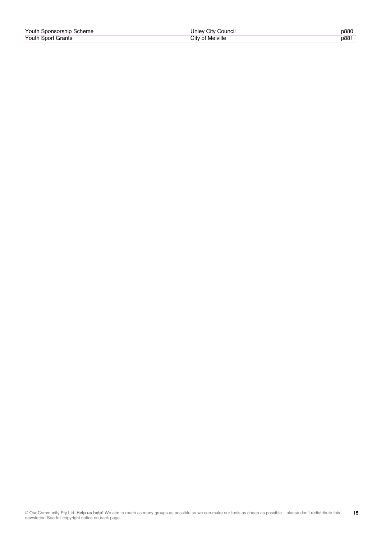| Youth Sponsorship Scheme | Unley City Council | p880 |
|--------------------------|--------------------|------|
| Youth Sport Grants       | City of Melville   | p881 |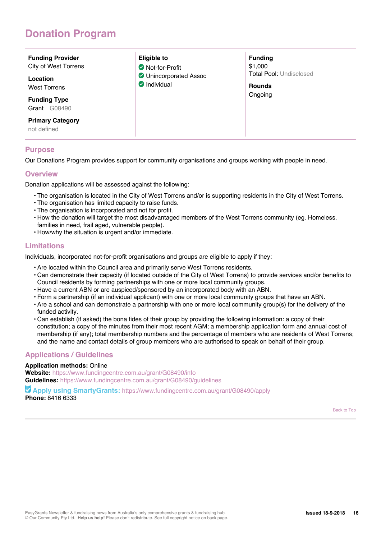## **Donation Program**

| <b>Funding Provider</b><br>City of West Torrens<br>Location<br><b>West Torrens</b><br><b>Funding Type</b><br>G08490<br>Grant | Eligible to<br>Not-for-Profit<br><b>O</b> Unincorporated Assoc<br>Individual | <b>Funding</b><br>\$1,000<br><b>Total Pool: Undisclosed</b><br><b>Rounds</b><br>Ongoing |
|------------------------------------------------------------------------------------------------------------------------------|------------------------------------------------------------------------------|-----------------------------------------------------------------------------------------|
| <b>Primary Category</b><br>not defined                                                                                       |                                                                              |                                                                                         |

## **Purpose**

Our Donations Program provides support for community organisations and groups working with people in need.

## **Overview**

Donation applications will be assessed against the following:

- The organisation is located in the City of West Torrens and/or is supporting residents in the City of West Torrens.
- The organisation has limited capacity to raise funds.
- The organisation is incorporated and not for profit.
- How the donation will target the most disadvantaged members of the West Torrens community (eg. Homeless, families in need, frail aged, vulnerable people).
- How/why the situation is urgent and/or immediate.

## **Limitations**

Individuals, incorporated not-for-profit organisations and groups are eligible to apply if they:

- Are located within the Council area and primarily serve West Torrens residents.
- Can demonstrate their capacity (if located outside of the City of West Torrens) to provide services and/or benefits to Council residents by forming partnerships with one or more local community groups.
- Have a current ABN or are auspiced/sponsored by an incorporated body with an ABN.
- Form a partnership (if an individual applicant) with one or more local community groups that have an ABN.
- Are a school and can demonstrate a partnership with one or more local community group(s) for the delivery of the funded activity.
- Can establish (if asked) the bona fides of their group by providing the following information: a copy of their constitution; a copy of the minutes from their most recent AGM; a membership application form and annual cost of membership (if any); total membership numbers and the percentage of members who are residents of West Torrens; and the name and contact details of group members who are authorised to speak on behalf of their group.

## **Applications / Guidelines**

### **Application methods:** Online

**Website:** https://www.fundingcentre.com.au/grant/G08490/info **Guidelines:** https://www.fundingcentre.com.au/grant/G08490/guidelines

 **Apply using SmartyGrants:** https://www.fundingcentre.com.au/grant/G08490/apply **Phone:** 8416 6333

Back to Top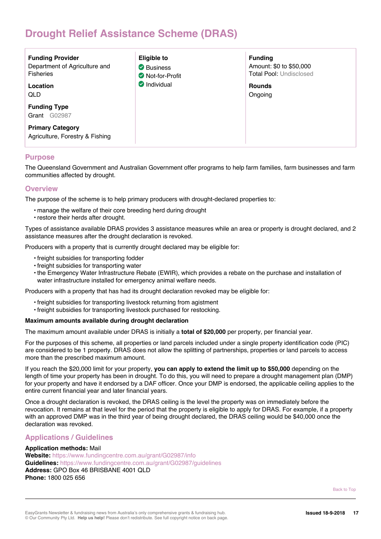## **Drought Relief Assistance Scheme (DRAS)**

| <b>Funding Provider</b><br>Department of Agriculture and<br><b>Fisheries</b><br>Location<br>QLD | <b>Eligible to</b><br>Business<br>Not-for-Profit<br>Individual | <b>Funding</b><br>Amount: \$0 to \$50,000<br><b>Total Pool: Undisclosed</b><br><b>Rounds</b><br>Ongoing |
|-------------------------------------------------------------------------------------------------|----------------------------------------------------------------|---------------------------------------------------------------------------------------------------------|
| <b>Funding Type</b><br>G02987<br>Grant                                                          |                                                                |                                                                                                         |
| <b>Primary Category</b><br>Agriculture, Forestry & Fishing                                      |                                                                |                                                                                                         |

## **Purpose**

The Queensland Government and Australian Government offer programs to help farm families, farm businesses and farm communities affected by drought.

## **Overview**

The purpose of the scheme is to help primary producers with drought-declared properties to:

- manage the welfare of their core breeding herd during drought
- restore their herds after drought.

Types of assistance available DRAS provides 3 assistance measures while an area or property is drought declared, and 2 assistance measures after the drought declaration is revoked.

Producers with a property that is currently drought declared may be eligible for:

- freight subsidies for transporting fodder
- freight subsidies for transporting water
- the Emergency Water Infrastructure Rebate (EWIR), which provides a rebate on the purchase and installation of water infrastructure installed for emergency animal welfare needs.

Producers with a property that has had its drought declaration revoked may be eligible for:

- freight subsidies for transporting livestock returning from agistment
- freight subsidies for transporting livestock purchased for restocking.

#### **Maximum amounts available during drought declaration**

The maximum amount available under DRAS is initially a **total of \$20,000** per property, per financial year.

For the purposes of this scheme, all properties or land parcels included under a single property identification code (PIC) are considered to be 1 property. DRAS does not allow the splitting of partnerships, properties or land parcels to access more than the prescribed maximum amount.

If you reach the \$20,000 limit for your property, **you can apply to extend the limit up to \$50,000** depending on the length of time your property has been in drought. To do this, you will need to prepare a drought management plan (DMP) for your property and have it endorsed by a DAF officer. Once your DMP is endorsed, the applicable ceiling applies to the entire current financial year and later financial years.

Once a drought declaration is revoked, the DRAS ceiling is the level the property was on immediately before the revocation. It remains at that level for the period that the property is eligible to apply for DRAS. For example, if a property with an approved DMP was in the third year of being drought declared, the DRAS ceiling would be \$40,000 once the declaration was revoked.

## **Applications / Guidelines**

**Application methods:** Mail **Website:** https://www.fundingcentre.com.au/grant/G02987/info **Guidelines:** https://www.fundingcentre.com.au/grant/G02987/guidelines **Address:** GPO Box 46 BRISBANE 4001 QLD **Phone:** 1800 025 656

Back to Top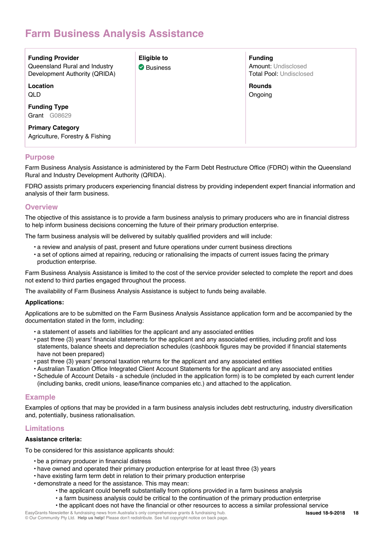## **Farm Business Analysis Assistance**

| <b>Funding Provider</b><br>Queensland Rural and Industry<br>Development Authority (QRIDA) | <b>Eligible to</b><br>Business | <b>Funding</b><br><b>Amount: Undisclosed</b><br><b>Total Pool: Undisclosed</b> |
|-------------------------------------------------------------------------------------------|--------------------------------|--------------------------------------------------------------------------------|
| Location<br>QLD                                                                           |                                | <b>Rounds</b><br>Ongoing                                                       |
| <b>Funding Type</b><br>G08629<br>Grant                                                    |                                |                                                                                |
| <b>Primary Category</b><br>Agriculture, Forestry & Fishing                                |                                |                                                                                |

## **Purpose**

Farm Business Analysis Assistance is administered by the Farm Debt Restructure Office (FDRO) within the Queensland Rural and Industry Development Authority (QRIDA).

FDRO assists primary producers experiencing financial distress by providing independent expert financial information and analysis of their farm business.

## **Overview**

The objective of this assistance is to provide a farm business analysis to primary producers who are in financial distress to help inform business decisions concerning the future of their primary production enterprise.

The farm business analysis will be delivered by suitably qualified providers and will include:

- a review and analysis of past, present and future operations under current business directions
- a set of options aimed at repairing, reducing or rationalising the impacts of current issues facing the primary production enterprise.

Farm Business Analysis Assistance is limited to the cost of the service provider selected to complete the report and does not extend to third parties engaged throughout the process.

The availability of Farm Business Analysis Assistance is subject to funds being available.

### **Applications:**

Applications are to be submitted on the Farm Business Analysis Assistance application form and be accompanied by the documentation stated in the form, including:

- a statement of assets and liabilities for the applicant and any associated entities
- past three (3) years' financial statements for the applicant and any associated entities, including profit and loss statements, balance sheets and depreciation schedules (cashbook figures may be provided if financial statements have not been prepared)
- past three (3) years' personal taxation returns for the applicant and any associated entities
- Australian Taxation Office Integrated Client Account Statements for the applicant and any associated entities
- Schedule of Account Details a schedule (included in the application form) is to be completed by each current lender (including banks, credit unions, lease/finance companies etc.) and attached to the application.

## **Example**

Examples of options that may be provided in a farm business analysis includes debt restructuring, industry diversification and, potentially, business rationalisation.

## **Limitations**

### **Assistance criteria:**

To be considered for this assistance applicants should:

- be a primary producer in financial distress
- have owned and operated their primary production enterprise for at least three (3) years
- have existing farm term debt in relation to their primary production enterprise
- demonstrate a need for the assistance. This may mean:
	- the applicant could benefit substantially from options provided in a farm business analysis
	- a farm business analysis could be critical to the continuation of the primary production enterprise
	- the applicant does not have the financial or other resources to access a similar professional service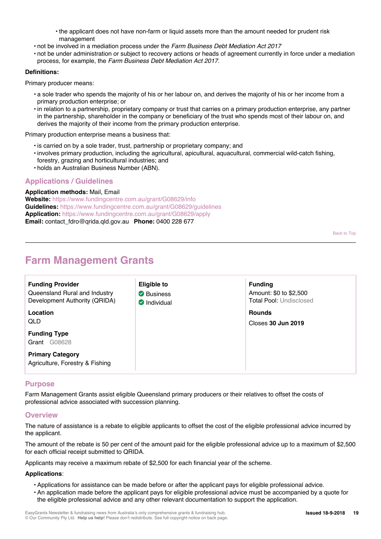- the applicant does not have non-farm or liquid assets more than the amount needed for prudent risk management
- not be involved in a mediation process under the *Farm Business Debt Mediation Act 2017*
- not be under administration or subject to recovery actions or heads of agreement currently in force under a mediation process, for example, the *Farm Business Debt Mediation Act 2017*.

## **Definitions:**

Primary producer means:

- a sole trader who spends the majority of his or her labour on, and derives the majority of his or her income from a primary production enterprise; or
- in relation to a partnership, proprietary company or trust that carries on a primary production enterprise, any partner in the partnership, shareholder in the company or beneficiary of the trust who spends most of their labour on, and derives the majority of their income from the primary production enterprise.

Primary production enterprise means a business that:

- is carried on by a sole trader, trust, partnership or proprietary company; and
- involves primary production, including the agricultural, apicultural, aquacultural, commercial wild-catch fishing, forestry, grazing and horticultural industries; and
- holds an Australian Business Number (ABN).

## **Applications / Guidelines**

**Application methods:** Mail, Email **Website:** https://www.fundingcentre.com.au/grant/G08629/info **Guidelines:** https://www.fundingcentre.com.au/grant/G08629/guidelines **Application:** https://www.fundingcentre.com.au/grant/G08629/apply **Email:** contact\_fdro@qrida.qld.gov.au **Phone:** 0400 228 677

Back to Top

## **Farm Management Grants**

| <b>Funding Provider</b><br>Queensland Rural and Industry<br>Development Authority (QRIDA) | Eligible to<br>Business<br>Individual | <b>Funding</b><br>Amount: \$0 to \$2,500<br><b>Total Pool: Undisclosed</b> |
|-------------------------------------------------------------------------------------------|---------------------------------------|----------------------------------------------------------------------------|
| Location<br>QLD                                                                           |                                       | <b>Rounds</b><br>Closes 30 Jun 2019                                        |
| <b>Funding Type</b><br>G08628<br>Grant                                                    |                                       |                                                                            |
| <b>Primary Category</b><br>Agriculture, Forestry & Fishing                                |                                       |                                                                            |

## **Purpose**

Farm Management Grants assist eligible Queensland primary producers or their relatives to offset the costs of professional advice associated with succession planning.

## **Overview**

The nature of assistance is a rebate to eligible applicants to offset the cost of the eligible professional advice incurred by the applicant.

The amount of the rebate is 50 per cent of the amount paid for the eligible professional advice up to a maximum of \$2,500 for each official receipt submitted to QRIDA.

Applicants may receive a maximum rebate of \$2,500 for each financial year of the scheme.

### **Applications**:

- Applications for assistance can be made before or after the applicant pays for eligible professional advice.
- An application made before the applicant pays for eligible professional advice must be accompanied by a quote for the eligible professional advice and any other relevant documentation to support the application.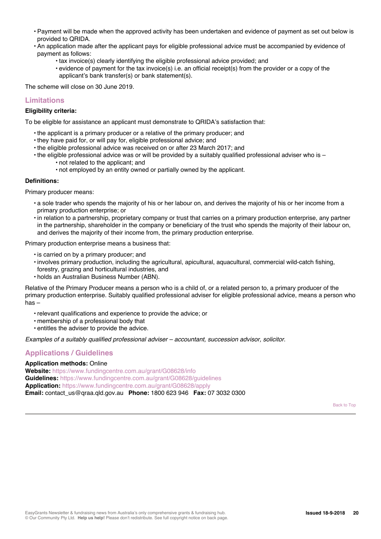- Payment will be made when the approved activity has been undertaken and evidence of payment as set out below is provided to QRIDA.
- An application made after the applicant pays for eligible professional advice must be accompanied by evidence of payment as follows:
	- tax invoice(s) clearly identifying the eligible professional advice provided; and
	- evidence of payment for the tax invoice(s) i.e. an official receipt(s) from the provider or a copy of the applicant's bank transfer(s) or bank statement(s).

The scheme will close on 30 June 2019.

## **Limitations**

### **Eligibility criteria:**

To be eligible for assistance an applicant must demonstrate to QRIDA's satisfaction that:

- the applicant is a primary producer or a relative of the primary producer; and
- they have paid for, or will pay for, eligible professional advice; and
- the eligible professional advice was received on or after 23 March 2017; and
- the eligible professional advice was or will be provided by a suitably qualified professional adviser who is • not related to the applicant; and
	- not employed by an entity owned or partially owned by the applicant.

#### **Definitions:**

Primary producer means:

- a sole trader who spends the majority of his or her labour on, and derives the majority of his or her income from a primary production enterprise; or
- in relation to a partnership, proprietary company or trust that carries on a primary production enterprise, any partner in the partnership, shareholder in the company or beneficiary of the trust who spends the majority of their labour on, and derives the majority of their income from, the primary production enterprise.

Primary production enterprise means a business that:

- is carried on by a primary producer; and
- involves primary production, including the agricultural, apicultural, aquacultural, commercial wild-catch fishing,
- forestry, grazing and horticultural industries, and
- holds an Australian Business Number (ABN).

Relative of the Primary Producer means a person who is a child of, or a related person to, a primary producer of the primary production enterprise. Suitably qualified professional adviser for eligible professional advice, means a person who has –

- relevant qualifications and experience to provide the advice; or
- membership of a professional body that
- entitles the adviser to provide the advice.

*Examples of a suitably qualified professional adviser – accountant, succession advisor, solicitor.*

## **Applications / Guidelines**

### **Application methods:** Online

**Website:** https://www.fundingcentre.com.au/grant/G08628/info **Guidelines:** https://www.fundingcentre.com.au/grant/G08628/guidelines **Application:** https://www.fundingcentre.com.au/grant/G08628/apply **Email:** contact\_us@qraa.qld.gov.au **Phone:** 1800 623 946 **Fax:** 07 3032 0300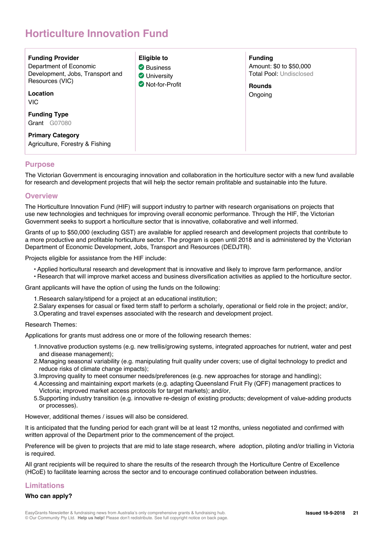## **Horticulture Innovation Fund**

| <b>Funding Provider</b><br>Department of Economic<br>Development, Jobs, Transport and<br>Resources (VIC)<br>Location<br><b>VIC</b> | <b>Eligible to</b><br>Business<br><b>V</b> University<br>Not-for-Profit | <b>Funding</b><br>Amount: \$0 to \$50,000<br><b>Total Pool: Undisclosed</b><br><b>Rounds</b><br>Ongoing |
|------------------------------------------------------------------------------------------------------------------------------------|-------------------------------------------------------------------------|---------------------------------------------------------------------------------------------------------|
| <b>Funding Type</b><br>G07080<br>Grant                                                                                             |                                                                         |                                                                                                         |
| <b>Primary Category</b><br>Agriculture, Forestry & Fishing                                                                         |                                                                         |                                                                                                         |

## **Purpose**

The Victorian Government is encouraging innovation and collaboration in the horticulture sector with a new fund available for research and development projects that will help the sector remain profitable and sustainable into the future.

## **Overview**

The Horticulture Innovation Fund (HIF) will support industry to partner with research organisations on projects that use new technologies and techniques for improving overall economic performance. Through the HIF, the Victorian Government seeks to support a horticulture sector that is innovative, collaborative and well informed.

Grants of up to \$50,000 (excluding GST) are available for applied research and development projects that contribute to a more productive and profitable horticulture sector. The program is open until 2018 and is administered by the Victorian Department of Economic Development, Jobs, Transport and Resources (DEDJTR).

Projects eligible for assistance from the HIF include:

- Applied horticultural research and development that is innovative and likely to improve farm performance, and/or
- Research that will improve market access and business diversification activities as applied to the horticulture sector.

Grant applicants will have the option of using the funds on the following:

- 1.Research salary/stipend for a project at an educational institution;
- 2.Salary expenses for casual or fixed term staff to perform a scholarly, operational or field role in the project; and/or,
- 3.Operating and travel expenses associated with the research and development project.

### Research Themes:

Applications for grants must address one or more of the following research themes:

- 1.Innovative production systems (e.g. new trellis/growing systems, integrated approaches for nutrient, water and pest and disease management);
- 2.Managing seasonal variability (e.g. manipulating fruit quality under covers; use of digital technology to predict and reduce risks of climate change impacts);
- 3.Improving quality to meet consumer needs/preferences (e.g. new approaches for storage and handling);
- 4.Accessing and maintaining export markets (e.g. adapting Queensland Fruit Fly (QFF) management practices to Victoria; improved market access protocols for target markets); and/or,
- 5.Supporting industry transition (e.g. innovative re-design of existing products; development of value-adding products or processes).

However, additional themes / issues will also be considered.

It is anticipated that the funding period for each grant will be at least 12 months, unless negotiated and confirmed with written approval of the Department prior to the commencement of the project.

Preference will be given to projects that are mid to late stage research, where adoption, piloting and/or trialling in Victoria is required.

All grant recipients will be required to share the results of the research through the Horticulture Centre of Excellence (HCoE) to facilitate learning across the sector and to encourage continued collaboration between industries.

## **Limitations**

### **Who can apply?**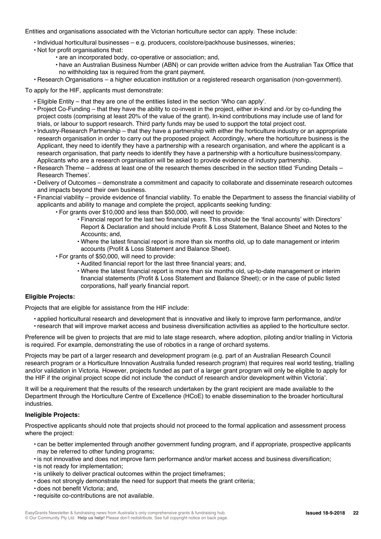Entities and organisations associated with the Victorian horticulture sector can apply. These include:

- Individual horticultural businesses e.g. producers, coolstore/packhouse businesses, wineries;
- Not for profit organisations that:
	- are an incorporated body, co-operative or association; and,
	- have an Australian Business Number (ABN) or can provide written advice from the Australian Tax Office that no withholding tax is required from the grant payment.
- Research Organisations a higher education institution or a registered research organisation (non-government).

To apply for the HIF, applicants must demonstrate:

- Eligible Entity that they are one of the entities listed in the section 'Who can apply'.
- Project Co-Funding that they have the ability to co-invest in the project, either in-kind and /or by co-funding the project costs (comprising at least 20% of the value of the grant). In-kind contributions may include use of land for trials, or labour to support research. Third party funds may be used to support the total project cost.
- Industry-Research Partnership that they have a partnership with either the horticulture industry or an appropriate research organisation in order to carry out the proposed project. Accordingly, where the horticulture business is the Applicant, they need to identify they have a partnership with a research organisation, and where the applicant is a research organisation, that party needs to identify they have a partnership with a horticulture business/company. Applicants who are a research organisation will be asked to provide evidence of industry partnership.
- Research Theme address at least one of the research themes described in the section titled 'Funding Details Research Themes'.
- Delivery of Outcomes demonstrate a commitment and capacity to collaborate and disseminate research outcomes and impacts beyond their own business.
- Financial viability provide evidence of financial viability. To enable the Department to assess the financial viability of applicants and ability to manage and complete the project, applicants seeking funding:
	- For grants over \$10,000 and less than \$50,000, will need to provide:
		- Financial report for the last two financial years. This should be the 'final accounts' with Directors' Report & Declaration and should include Profit & Loss Statement, Balance Sheet and Notes to the Accounts; and,
		- Where the latest financial report is more than six months old, up to date management or interim accounts (Profit & Loss Statement and Balance Sheet).
	- For grants of \$50,000, will need to provide:
		- Audited financial report for the last three financial years; and,
		- Where the latest financial report is more than six months old, up-to-date management or interim financial statements (Profit & Loss Statement and Balance Sheet); or in the case of public listed corporations, half yearly financial report.

### **Eligible Projects:**

Projects that are eligible for assistance from the HIF include:

- applied horticultural research and development that is innovative and likely to improve farm performance, and/or
- research that will improve market access and business diversification activities as applied to the horticulture sector.

Preference will be given to projects that are mid to late stage research, where adoption, piloting and/or trialling in Victoria is required. For example, demonstrating the use of robotics in a range of orchard systems.

Projects may be part of a larger research and development program (e.g. part of an Australian Research Council research program or a Horticulture Innovation Australia funded research program) that requires real world testing, trialling and/or validation in Victoria. However, projects funded as part of a larger grant program will only be eligible to apply for the HIF if the original project scope did not include 'the conduct of research and/or development within Victoria'.

It will be a requirement that the results of the research undertaken by the grant recipient are made available to the Department through the Horticulture Centre of Excellence (HCoE) to enable dissemination to the broader horticultural industries.

### **Ineligible Projects:**

Prospective applicants should note that projects should not proceed to the formal application and assessment process where the project:

- can be better implemented through another government funding program, and if appropriate, prospective applicants may be referred to other funding programs;
- is not innovative and does not improve farm performance and/or market access and business diversification;
- is not ready for implementation;
- is unlikely to deliver practical outcomes within the project timeframes;
- does not strongly demonstrate the need for support that meets the grant criteria;
- does not benefit Victoria; and,
- requisite co-contributions are not available.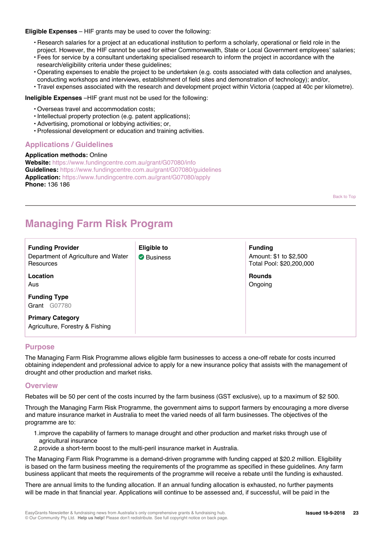### **Eligible Expenses** – HIF grants may be used to cover the following:

- Research salaries for a project at an educational institution to perform a scholarly, operational or field role in the project. However, the HIF cannot be used for either Commonwealth, State or Local Government employees' salaries;
- Fees for service by a consultant undertaking specialised research to inform the project in accordance with the research/eligibility criteria under these guidelines;
- Operating expenses to enable the project to be undertaken (e.g. costs associated with data collection and analyses, conducting workshops and interviews, establishment of field sites and demonstration of technology); and/or,
- Travel expenses associated with the research and development project within Victoria (capped at 40c per kilometre).

**Ineligible Expenses** –HIF grant must not be used for the following:

- Overseas travel and accommodation costs;
- Intellectual property protection (e.g. patent applications);
- Advertising, promotional or lobbying activities; or,
- Professional development or education and training activities.

## **Applications / Guidelines**

#### **Application methods:** Online

**Website:** https://www.fundingcentre.com.au/grant/G07080/info **Guidelines:** https://www.fundingcentre.com.au/grant/G07080/guidelines **Application:** https://www.fundingcentre.com.au/grant/G07080/apply **Phone:** 136 186

Back to Top

## **Managing Farm Risk Program**

| <b>Funding Provider</b><br>Department of Agriculture and Water<br>Resources | <b>Eligible to</b><br>Business | <b>Funding</b><br>Amount: \$1 to \$2,500<br>Total Pool: \$20,200,000 |
|-----------------------------------------------------------------------------|--------------------------------|----------------------------------------------------------------------|
| Location<br>Aus                                                             |                                | <b>Rounds</b><br>Ongoing                                             |
| <b>Funding Type</b><br>G07780<br>Grant                                      |                                |                                                                      |
| <b>Primary Category</b><br>Agriculture, Forestry & Fishing                  |                                |                                                                      |

## **Purpose**

The Managing Farm Risk Programme allows eligible farm businesses to access a one-off rebate for costs incurred obtaining independent and professional advice to apply for a new insurance policy that assists with the management of drought and other production and market risks.

### **Overview**

Rebates will be 50 per cent of the costs incurred by the farm business (GST exclusive), up to a maximum of \$2 500.

Through the Managing Farm Risk Programme, the government aims to support farmers by encouraging a more diverse and mature insurance market in Australia to meet the varied needs of all farm businesses. The objectives of the programme are to:

- 1.improve the capability of farmers to manage drought and other production and market risks through use of agricultural insurance
- 2.provide a short-term boost to the multi-peril insurance market in Australia.

The Managing Farm Risk Programme is a demand-driven programme with funding capped at \$20.2 million. Eligibility is based on the farm business meeting the requirements of the programme as specified in these guidelines. Any farm business applicant that meets the requirements of the programme will receive a rebate until the funding is exhausted.

There are annual limits to the funding allocation. If an annual funding allocation is exhausted, no further payments will be made in that financial year. Applications will continue to be assessed and, if successful, will be paid in the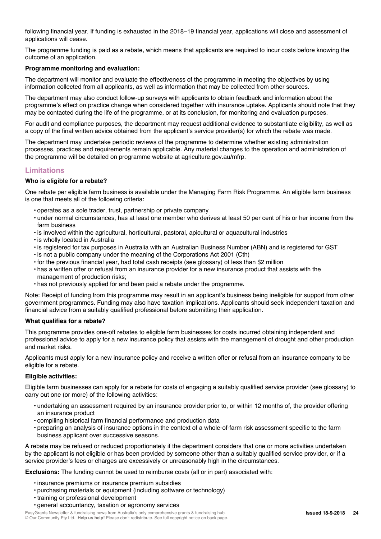following financial year. If funding is exhausted in the 2018–19 financial year, applications will close and assessment of applications will cease.

The programme funding is paid as a rebate, which means that applicants are required to incur costs before knowing the outcome of an application.

#### **Programme monitoring and evaluation:**

The department will monitor and evaluate the effectiveness of the programme in meeting the objectives by using information collected from all applicants, as well as information that may be collected from other sources.

The department may also conduct follow-up surveys with applicants to obtain feedback and information about the programme's effect on practice change when considered together with insurance uptake. Applicants should note that they may be contacted during the life of the programme, or at its conclusion, for monitoring and evaluation purposes.

For audit and compliance purposes, the department may request additional evidence to substantiate eligibility, as well as a copy of the final written advice obtained from the applicant's service provider(s) for which the rebate was made.

The department may undertake periodic reviews of the programme to determine whether existing administration processes, practices and requirements remain applicable. Any material changes to the operation and administration of the programme will be detailed on programme website at agriculture.gov.au/mfrp.

## **Limitations**

### **Who is eligible for a rebate?**

One rebate per eligible farm business is available under the Managing Farm Risk Programme. An eligible farm business is one that meets all of the following criteria:

- operates as a sole trader, trust, partnership or private company
- under normal circumstances, has at least one member who derives at least 50 per cent of his or her income from the farm business
- is involved within the agricultural, horticultural, pastoral, apicultural or aquacultural industries
- is wholly located in Australia
- is registered for tax purposes in Australia with an Australian Business Number (ABN) and is registered for GST
- is not a public company under the meaning of the Corporations Act 2001 (Cth)
- for the previous financial year, had total cash receipts (see glossary) of less than \$2 million
- has a written offer or refusal from an insurance provider for a new insurance product that assists with the management of production risks;
- has not previously applied for and been paid a rebate under the programme.

Note: Receipt of funding from this programme may result in an applicant's business being ineligible for support from other government programmes. Funding may also have taxation implications. Applicants should seek independent taxation and financial advice from a suitably qualified professional before submitting their application.

#### **What qualifies for a rebate?**

This programme provides one-off rebates to eligible farm businesses for costs incurred obtaining independent and professional advice to apply for a new insurance policy that assists with the management of drought and other production and market risks.

Applicants must apply for a new insurance policy and receive a written offer or refusal from an insurance company to be eligible for a rebate.

### **Eligible activities:**

Eligible farm businesses can apply for a rebate for costs of engaging a suitably qualified service provider (see glossary) to carry out one (or more) of the following activities:

- undertaking an assessment required by an insurance provider prior to, or within 12 months of, the provider offering an insurance product
- compiling historical farm financial performance and production data
- preparing an analysis of insurance options in the context of a whole-of-farm risk assessment specific to the farm business applicant over successive seasons.

A rebate may be refused or reduced proportionately if the department considers that one or more activities undertaken by the applicant is not eligible or has been provided by someone other than a suitably qualified service provider, or if a service provider's fees or charges are excessively or unreasonably high in the circumstances.

**Exclusions:** The funding cannot be used to reimburse costs (all or in part) associated with:

- insurance premiums or insurance premium subsidies
- purchasing materials or equipment (including software or technology)
- training or professional development
- general accountancy, taxation or agronomy services

EasyGrants Newsletter & fundraising news from Australia's only comprehensive grants & fundraising hub. © Our Community Pty Ltd. **Help us help!** Please don't redistribute. See full copyright notice on back page.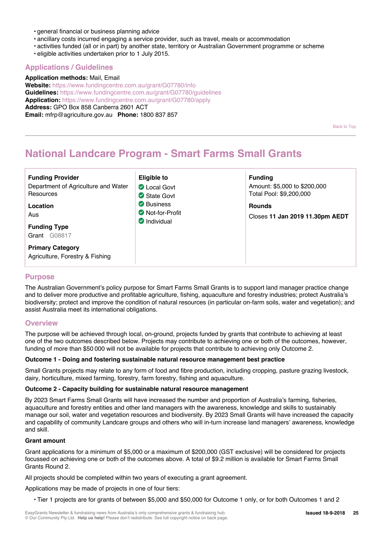- general financial or business planning advice
- ancillary costs incurred engaging a service provider, such as travel, meals or accommodation
- activities funded (all or in part) by another state, territory or Australian Government programme or scheme
- eligible activities undertaken prior to 1 July 2015.

## **Applications / Guidelines**

**Application methods:** Mail, Email **Website:** https://www.fundingcentre.com.au/grant/G07780/info **Guidelines:** https://www.fundingcentre.com.au/grant/G07780/guidelines **Application:** https://www.fundingcentre.com.au/grant/G07780/apply **Address:** GPO Box 858 Canberra 2601 ACT **Email:** mfrp@agriculture.gov.au **Phone:** 1800 837 857

Back to Top

## **National Landcare Program - Smart Farms Small Grants**

| <b>Funding Provider</b><br>Department of Agriculture and Water<br>Resources<br>Location<br>Aus<br><b>Funding Type</b><br>G08817<br>Grant | Eligible to<br><b>C</b> Local Govt<br>State Govt<br><b>◆</b> Business<br>Not-for-Profit<br>$\bullet$ Individual | <b>Funding</b><br>Amount: \$5,000 to \$200,000<br>Total Pool: \$9,200,000<br><b>Rounds</b><br>Closes 11 Jan 2019 11.30pm AEDT |
|------------------------------------------------------------------------------------------------------------------------------------------|-----------------------------------------------------------------------------------------------------------------|-------------------------------------------------------------------------------------------------------------------------------|
| <b>Primary Category</b><br>Agriculture, Forestry & Fishing                                                                               |                                                                                                                 |                                                                                                                               |

### **Purpose**

The Australian Government's policy purpose for Smart Farms Small Grants is to support land manager practice change and to deliver more productive and profitable agriculture, fishing, aquaculture and forestry industries; protect Australia's biodiversity; protect and improve the condition of natural resources (in particular on-farm soils, water and vegetation); and assist Australia meet its international obligations.

### **Overview**

The purpose will be achieved through local, on-ground, projects funded by grants that contribute to achieving at least one of the two outcomes described below. Projects may contribute to achieving one or both of the outcomes, however, funding of more than \$50 000 will not be available for projects that contribute to achieving only Outcome 2.

### **Outcome 1 - Doing and fostering sustainable natural resource management best practice**

Small Grants projects may relate to any form of food and fibre production, including cropping, pasture grazing livestock, dairy, horticulture, mixed farming, forestry, farm forestry, fishing and aquaculture.

#### **Outcome 2 - Capacity building for sustainable natural resource management**

By 2023 Smart Farms Small Grants will have increased the number and proportion of Australia's farming, fisheries, aquaculture and forestry entities and other land managers with the awareness, knowledge and skills to sustainably manage our soil, water and vegetation resources and biodiversity. By 2023 Small Grants will have increased the capacity and capability of community Landcare groups and others who will in-turn increase land managers' awareness, knowledge and skill.

#### **Grant amount**

Grant applications for a minimum of \$5,000 or a maximum of \$200,000 (GST exclusive) will be considered for projects focussed on achieving one or both of the outcomes above. A total of \$9.2 million is available for Smart Farms Small Grants Round 2.

All projects should be completed within two years of executing a grant agreement.

Applications may be made of projects in one of four tiers:

• Tier 1 projects are for grants of between \$5,000 and \$50,000 for Outcome 1 only, or for both Outcomes 1 and 2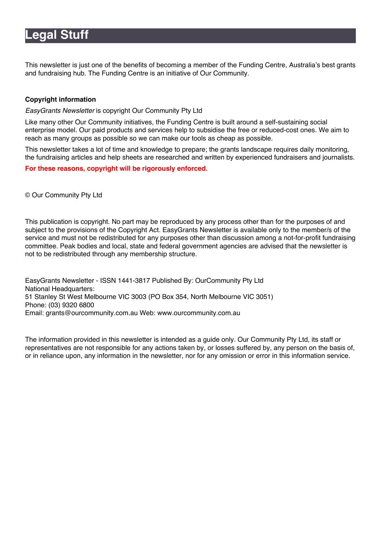## **Legal Stuff**

This newsletter is just one of the benefits of becoming a member of the Funding Centre, Australia's best grants and fundraising hub. The Funding Centre is an initiative of Our Community.

## **Copyright information**

*EasyGrants Newsletter* is copyright Our Community Pty Ltd

Like many other Our Community initiatives, the Funding Centre is built around a self-sustaining social enterprise model. Our paid products and services help to subsidise the free or reduced-cost ones. We aim to reach as many groups as possible so we can make our tools as cheap as possible.

This newsletter takes a lot of time and knowledge to prepare; the grants landscape requires daily monitoring, the fundraising articles and help sheets are researched and written by experienced fundraisers and journalists.

**For these reasons, copyright will be rigorously enforced.**

© Our Community Pty Ltd

This publication is copyright. No part may be reproduced by any process other than for the purposes of and subject to the provisions of the Copyright Act. EasyGrants Newsletter is available only to the member/s of the service and must not be redistributed for any purposes other than discussion among a not-for-profit fundraising committee. Peak bodies and local, state and federal government agencies are advised that the newsletter is not to be redistributed through any membership structure.

EasyGrants Newsletter - ISSN 1441-3817 Published By: OurCommunity Pty Ltd National Headquarters: 51 Stanley St West Melbourne VIC 3003 (PO Box 354, North Melbourne VIC 3051) Phone: (03) 9320 6800 Email: grants@ourcommunity.com.au Web: www.ourcommunity.com.au

The information provided in this newsletter is intended as a guide only. Our Community Pty Ltd, its staff or representatives are not responsible for any actions taken by, or losses suffered by, any person on the basis of, or in reliance upon, any information in the newsletter, nor for any omission or error in this information service.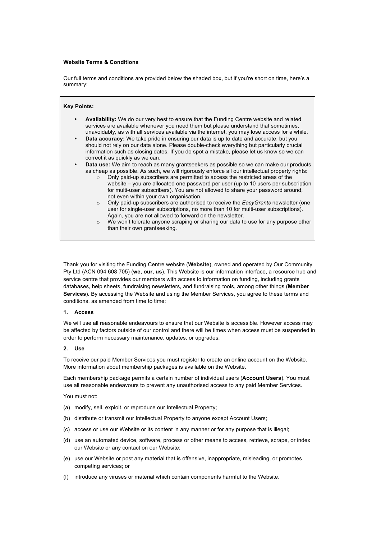#### **Website Terms & Conditions**

Our full terms and conditions are provided below the shaded box, but if you're short on time, here's a summary:

| Key Points: |                                                                                                                                                                                                                                                                                                                                                                                                                                                                                                                                                                                                                                                                                                                                                                                                                                                                                                                                                                                                                                                                                                                                                                                                                                                                                                                                                                                                                                                                                                                              |
|-------------|------------------------------------------------------------------------------------------------------------------------------------------------------------------------------------------------------------------------------------------------------------------------------------------------------------------------------------------------------------------------------------------------------------------------------------------------------------------------------------------------------------------------------------------------------------------------------------------------------------------------------------------------------------------------------------------------------------------------------------------------------------------------------------------------------------------------------------------------------------------------------------------------------------------------------------------------------------------------------------------------------------------------------------------------------------------------------------------------------------------------------------------------------------------------------------------------------------------------------------------------------------------------------------------------------------------------------------------------------------------------------------------------------------------------------------------------------------------------------------------------------------------------------|
| $\bullet$   | <b>Availability:</b> We do our very best to ensure that the Funding Centre website and related<br>services are available whenever you need them but please understand that sometimes.<br>unavoidably, as with all services available via the internet, you may lose access for a while.<br><b>Data accuracy:</b> We take pride in ensuring our data is up to date and accurate, but you<br>should not rely on our data alone. Please double-check everything but particularly crucial<br>information such as closing dates. If you do spot a mistake, please let us know so we can<br>correct it as quickly as we can.<br><b>Data use:</b> We aim to reach as many grantseekers as possible so we can make our products<br>as cheap as possible. As such, we will rigorously enforce all our intellectual property rights:<br>Only paid-up subscribers are permitted to access the restricted areas of the<br>$\Omega$<br>website – you are allocated one password per user (up to 10 users per subscription<br>for multi-user subscribers). You are not allowed to share your password around,<br>not even within your own organisation.<br>Only paid-up subscribers are authorised to receive the EasyGrants newsletter (one<br>$\circ$<br>user for single-user subscriptions, no more than 10 for multi-user subscriptions).<br>Again, you are not allowed to forward on the newsletter.<br>We won't tolerate anyone scraping or sharing our data to use for any purpose other<br>$\circ$<br>than their own grantseeking. |

Thank you for visiting the Funding Centre website (**Website**), owned and operated by Our Community Pty Ltd (ACN 094 608 705) (**we, our, us**). This Website is our information interface, a resource hub and service centre that provides our members with access to information on funding, including grants databases, help sheets, fundraising newsletters, and fundraising tools, among other things (**Member Services**). By accessing the Website and using the Member Services, you agree to these terms and conditions, as amended from time to time:

#### **1. Access**

We will use all reasonable endeavours to ensure that our Website is accessible. However access may be affected by factors outside of our control and there will be times when access must be suspended in order to perform necessary maintenance, updates, or upgrades.

#### **2. Use**

To receive our paid Member Services you must register to create an online account on the Website. More information about membership packages is available on the Website.

Each membership package permits a certain number of individual users (**Account Users**). You must use all reasonable endeavours to prevent any unauthorised access to any paid Member Services.

You must not:

- (a) modify, sell, exploit, or reproduce our Intellectual Property;
- (b) distribute or transmit our Intellectual Property to anyone except Account Users;
- (c) access or use our Website or its content in any manner or for any purpose that is illegal;
- (d) use an automated device, software, process or other means to access, retrieve, scrape, or index our Website or any contact on our Website;
- (e) use our Website or post any material that is offensive, inappropriate, misleading, or promotes competing services; or
- (f) introduce any viruses or material which contain components harmful to the Website.